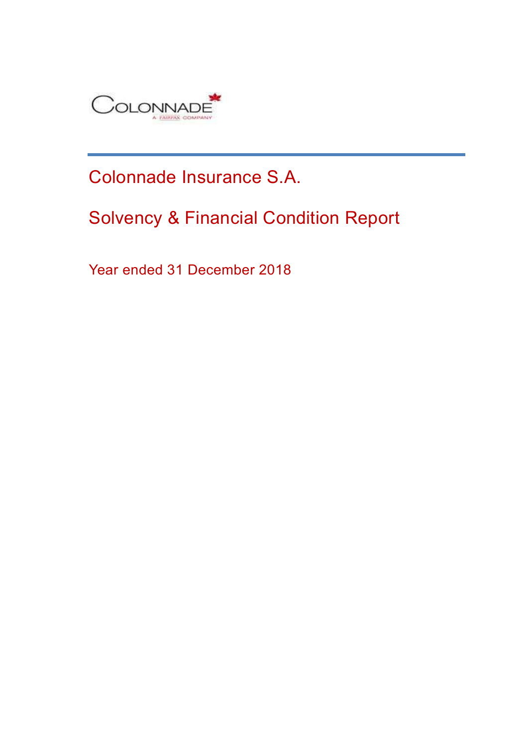

# Colonnade Insurance S.A.

# Solvency & Financial Condition Report

Year ended 31 December 2018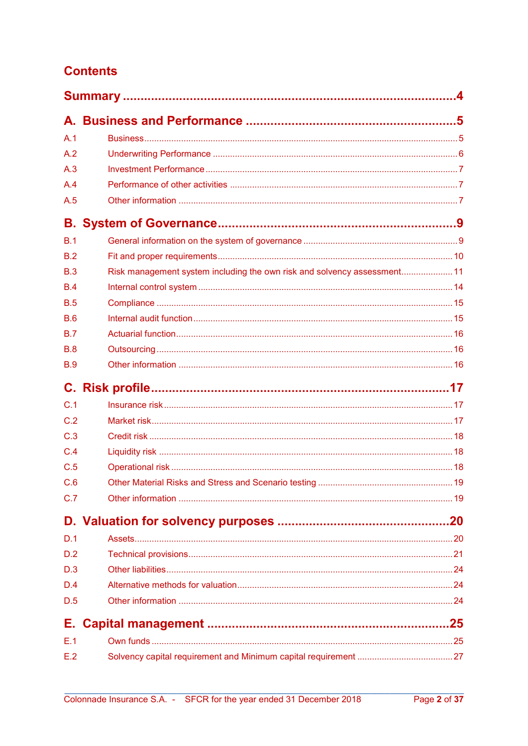## **Contents**

| A.1        |                                                                         |  |
|------------|-------------------------------------------------------------------------|--|
| A.2        |                                                                         |  |
| A.3        |                                                                         |  |
| A.4        |                                                                         |  |
| A.5        |                                                                         |  |
|            |                                                                         |  |
| B.1        |                                                                         |  |
| B.2        |                                                                         |  |
| B.3        | Risk management system including the own risk and solvency assessment11 |  |
| B.4        |                                                                         |  |
| <b>B.5</b> |                                                                         |  |
| B.6        |                                                                         |  |
| B.7        |                                                                         |  |
| B.8        |                                                                         |  |
| <b>B.9</b> |                                                                         |  |
|            |                                                                         |  |
| C.1        |                                                                         |  |
| C.2        |                                                                         |  |
| C.3        |                                                                         |  |
| C.4        |                                                                         |  |
| C.5        |                                                                         |  |
| C.6        |                                                                         |  |
| C.7        |                                                                         |  |
|            |                                                                         |  |
| D.1        |                                                                         |  |
| D.2        |                                                                         |  |
| D.3        |                                                                         |  |
| D.4        |                                                                         |  |
| D.5        |                                                                         |  |
| Е.         |                                                                         |  |
| E.1        |                                                                         |  |
| E.2        |                                                                         |  |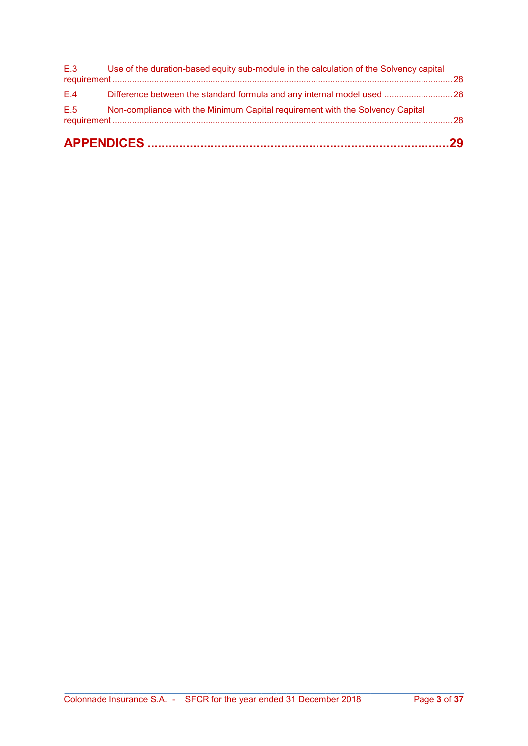| E.5 | Non-compliance with the Minimum Capital requirement with the Solvency Capital          |  |
|-----|----------------------------------------------------------------------------------------|--|
| E.4 | Difference between the standard formula and any internal model used 28                 |  |
| E.3 | Use of the duration-based equity sub-module in the calculation of the Solvency capital |  |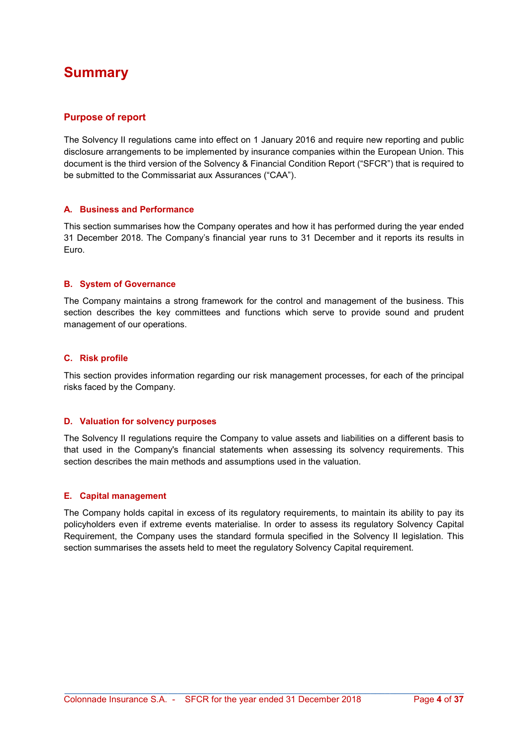## Summary

#### Purpose of report

The Solvency II regulations came into effect on 1 January 2016 and require new reporting and public disclosure arrangements to be implemented by insurance companies within the European Union. This document is the third version of the Solvency & Financial Condition Report ("SFCR") that is required to be submitted to the Commissariat aux Assurances ("CAA").

#### A. Business and Performance

This section summarises how the Company operates and how it has performed during the year ended 31 December 2018. The Company's financial year runs to 31 December and it reports its results in Euro.

#### B. System of Governance

The Company maintains a strong framework for the control and management of the business. This section describes the key committees and functions which serve to provide sound and prudent management of our operations.

#### C. Risk profile

This section provides information regarding our risk management processes, for each of the principal risks faced by the Company.

#### D. Valuation for solvency purposes

The Solvency II regulations require the Company to value assets and liabilities on a different basis to that used in the Company's financial statements when assessing its solvency requirements. This section describes the main methods and assumptions used in the valuation.

#### E. Capital management

The Company holds capital in excess of its regulatory requirements, to maintain its ability to pay its policyholders even if extreme events materialise. In order to assess its regulatory Solvency Capital Requirement, the Company uses the standard formula specified in the Solvency II legislation. This section summarises the assets held to meet the regulatory Solvency Capital requirement.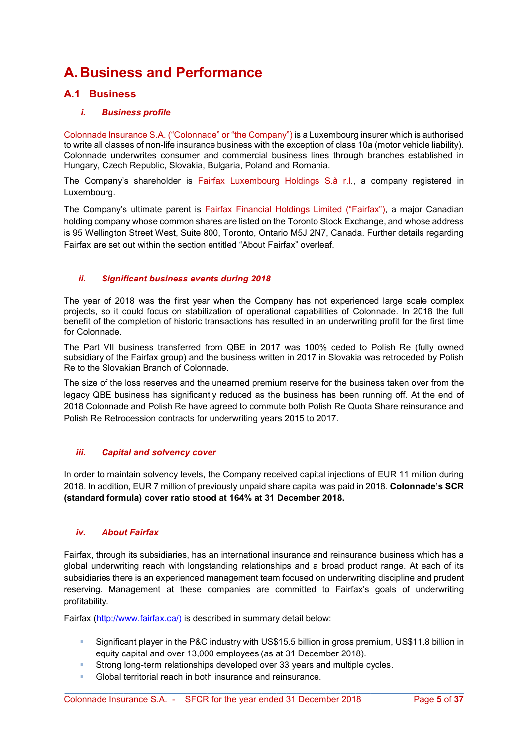## A. Business and Performance

## A.1 Business

#### i. Business profile

Colonnade Insurance S.A. ("Colonnade" or "the Company") is a Luxembourg insurer which is authorised to write all classes of non-life insurance business with the exception of class 10a (motor vehicle liability). Colonnade underwrites consumer and commercial business lines through branches established in Hungary, Czech Republic, Slovakia, Bulgaria, Poland and Romania.

The Company's shareholder is Fairfax Luxembourg Holdings S.à r.l., a company registered in Luxembourg.

The Company's ultimate parent is Fairfax Financial Holdings Limited ("Fairfax"), a major Canadian holding company whose common shares are listed on the Toronto Stock Exchange, and whose address is 95 Wellington Street West, Suite 800, Toronto, Ontario M5J 2N7, Canada. Further details regarding Fairfax are set out within the section entitled "About Fairfax" overleaf.

#### ii. Significant business events during 2018

The year of 2018 was the first year when the Company has not experienced large scale complex projects, so it could focus on stabilization of operational capabilities of Colonnade. In 2018 the full benefit of the completion of historic transactions has resulted in an underwriting profit for the first time for Colonnade.

The Part VII business transferred from QBE in 2017 was 100% ceded to Polish Re (fully owned subsidiary of the Fairfax group) and the business written in 2017 in Slovakia was retroceded by Polish Re to the Slovakian Branch of Colonnade.

The size of the loss reserves and the unearned premium reserve for the business taken over from the legacy QBE business has significantly reduced as the business has been running off. At the end of 2018 Colonnade and Polish Re have agreed to commute both Polish Re Quota Share reinsurance and Polish Re Retrocession contracts for underwriting years 2015 to 2017.

#### iii. Capital and solvency cover

In order to maintain solvency levels, the Company received capital injections of EUR 11 million during 2018. In addition, EUR 7 million of previously unpaid share capital was paid in 2018. Colonnade's SCR (standard formula) cover ratio stood at 164% at 31 December 2018.

#### iv. About Fairfax

Fairfax, through its subsidiaries, has an international insurance and reinsurance business which has a global underwriting reach with longstanding relationships and a broad product range. At each of its subsidiaries there is an experienced management team focused on underwriting discipline and prudent reserving. Management at these companies are committed to Fairfax's goals of underwriting profitability.

Fairfax (http://www.fairfax.ca/) is described in summary detail below:

 Significant player in the P&C industry with US\$15.5 billion in gross premium, US\$11.8 billion in equity capital and over 13,000 employees (as at 31 December 2018).

- Strong long-term relationships developed over 33 years and multiple cycles.
- Global territorial reach in both insurance and reinsurance.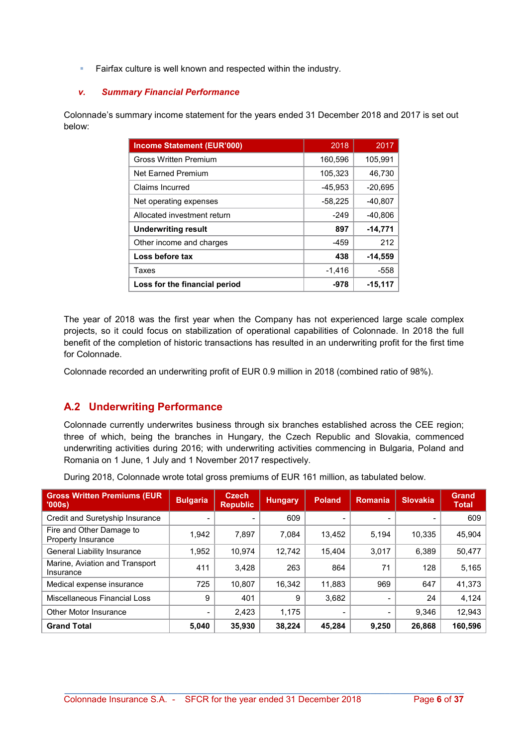Fairfax culture is well known and respected within the industry.

#### v. Summary Financial Performance

Colonnade's summary income statement for the years ended 31 December 2018 and 2017 is set out below:

| <b>Income Statement (EUR'000)</b> | 2018      | 2017      |
|-----------------------------------|-----------|-----------|
| <b>Gross Written Premium</b>      | 160,596   | 105,991   |
| <b>Net Farned Premium</b>         | 105,323   | 46,730    |
| Claims Incurred                   | $-45,953$ | $-20,695$ |
| Net operating expenses            | $-58,225$ | $-40,807$ |
| Allocated investment return       | $-249$    | $-40,806$ |
| <b>Underwriting result</b>        | 897       | $-14,771$ |
| Other income and charges          | $-459$    | 212       |
| Loss before tax                   | 438       | $-14,559$ |
| Taxes                             | $-1,416$  | -558      |
| Loss for the financial period     | -978      | $-15,117$ |

The year of 2018 was the first year when the Company has not experienced large scale complex projects, so it could focus on stabilization of operational capabilities of Colonnade. In 2018 the full benefit of the completion of historic transactions has resulted in an underwriting profit for the first time for Colonnade.

Colonnade recorded an underwriting profit of EUR 0.9 million in 2018 (combined ratio of 98%).

## A.2 Underwriting Performance

Colonnade currently underwrites business through six branches established across the CEE region; three of which, being the branches in Hungary, the Czech Republic and Slovakia, commenced underwriting activities during 2016; with underwriting activities commencing in Bulgaria, Poland and Romania on 1 June, 1 July and 1 November 2017 respectively.

During 2018, Colonnade wrote total gross premiums of EUR 161 million, as tabulated below.

| <b>Gross Written Premiums (EUR)</b><br>'000s   | <b>Bulgaria</b> | <b>Czech</b><br><b>Republic</b> | <b>Hungary</b> | <b>Poland</b> | <b>Romania</b>           | Slovakia. | <b>Grand</b><br><b>Total</b> |
|------------------------------------------------|-----------------|---------------------------------|----------------|---------------|--------------------------|-----------|------------------------------|
| Credit and Suretyship Insurance                |                 |                                 | 609            |               |                          |           | 609                          |
| Fire and Other Damage to<br>Property Insurance | 1.942           | 7.897                           | 7.084          | 13.452        | 5.194                    | 10.335    | 45.904                       |
| General Liability Insurance                    | 1.952           | 10.974                          | 12.742         | 15.404        | 3.017                    | 6.389     | 50,477                       |
| Marine, Aviation and Transport<br>Insurance    | 411             | 3.428                           | 263            | 864           | 71                       | 128       | 5,165                        |
| Medical expense insurance                      | 725             | 10,807                          | 16.342         | 11,883        | 969                      | 647       | 41,373                       |
| Miscellaneous Financial Loss                   | 9               | 401                             | 9              | 3,682         | $\overline{\phantom{a}}$ | 24        | 4,124                        |
| Other Motor Insurance                          |                 | 2,423                           | 1.175          |               | $\overline{\phantom{a}}$ | 9.346     | 12,943                       |
| <b>Grand Total</b>                             | 5,040           | 35,930                          | 38.224         | 45.284        | 9.250                    | 26,868    | 160,596                      |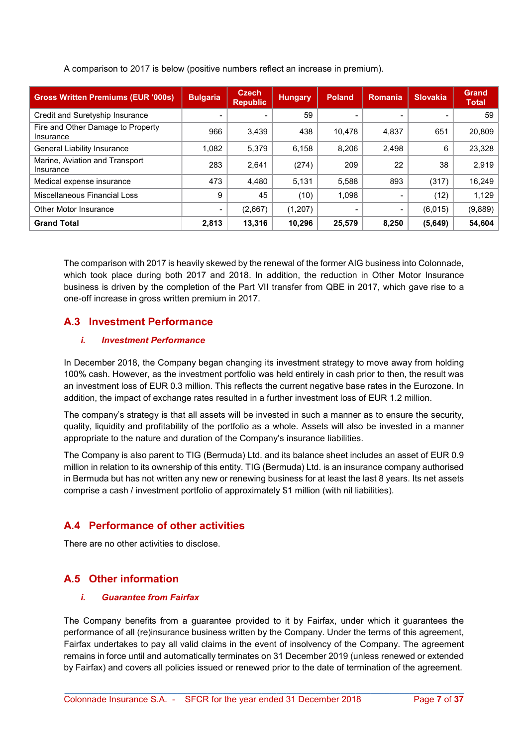A comparison to 2017 is below (positive numbers reflect an increase in premium).

| <b>Gross Written Premiums (EUR '000s)</b>      | <b>Bulgaria</b>          | <b>Czech</b><br><b>Republic</b> | <b>Hungary</b> | <b>Poland</b>            | Romania         | <b>Slovakia</b> | <b>Grand</b><br><b>Total</b> |
|------------------------------------------------|--------------------------|---------------------------------|----------------|--------------------------|-----------------|-----------------|------------------------------|
| Credit and Suretyship Insurance                | $\overline{\phantom{0}}$ |                                 | 59             | $\overline{\phantom{0}}$ |                 |                 | 59                           |
| Fire and Other Damage to Property<br>Insurance | 966                      | 3,439                           | 438            | 10,478                   | 4,837           | 651             | 20,809                       |
| <b>General Liability Insurance</b>             | 1.082                    | 5.379                           | 6.158          | 8,206                    | 2,498           | 6               | 23,328                       |
| Marine, Aviation and Transport<br>Insurance    | 283                      | 2.641                           | (274)          | 209                      | 22              | 38              | 2.919                        |
| Medical expense insurance                      | 473                      | 4,480                           | 5.131          | 5.588                    | 893             | (317)           | 16,249                       |
| Miscellaneous Financial Loss                   | 9                        | 45                              | (10)           | 1,098                    |                 | (12)            | 1,129                        |
| Other Motor Insurance                          | $\blacksquare$           | (2,667)                         | (1,207)        | $\overline{\phantom{a}}$ | $\qquad \qquad$ | (6,015)         | (9,889)                      |
| <b>Grand Total</b>                             | 2,813                    | 13,316                          | 10,296         | 25,579                   | 8,250           | (5,649)         | 54,604                       |

The comparison with 2017 is heavily skewed by the renewal of the former AIG business into Colonnade, which took place during both 2017 and 2018. In addition, the reduction in Other Motor Insurance business is driven by the completion of the Part VII transfer from QBE in 2017, which gave rise to a one-off increase in gross written premium in 2017.

## A.3 Investment Performance

#### i. Investment Performance

In December 2018, the Company began changing its investment strategy to move away from holding 100% cash. However, as the investment portfolio was held entirely in cash prior to then, the result was an investment loss of EUR 0.3 million. This reflects the current negative base rates in the Eurozone. In addition, the impact of exchange rates resulted in a further investment loss of EUR 1.2 million.

The company's strategy is that all assets will be invested in such a manner as to ensure the security, quality, liquidity and profitability of the portfolio as a whole. Assets will also be invested in a manner appropriate to the nature and duration of the Company's insurance liabilities.

The Company is also parent to TIG (Bermuda) Ltd. and its balance sheet includes an asset of EUR 0.9 million in relation to its ownership of this entity. TIG (Bermuda) Ltd. is an insurance company authorised in Bermuda but has not written any new or renewing business for at least the last 8 years. Its net assets comprise a cash / investment portfolio of approximately \$1 million (with nil liabilities).

## A.4 Performance of other activities

There are no other activities to disclose.

## A.5 Other information

#### i. Guarantee from Fairfax

The Company benefits from a guarantee provided to it by Fairfax, under which it guarantees the performance of all (re)insurance business written by the Company. Under the terms of this agreement, Fairfax undertakes to pay all valid claims in the event of insolvency of the Company. The agreement remains in force until and automatically terminates on 31 December 2019 (unless renewed or extended by Fairfax) and covers all policies issued or renewed prior to the date of termination of the agreement.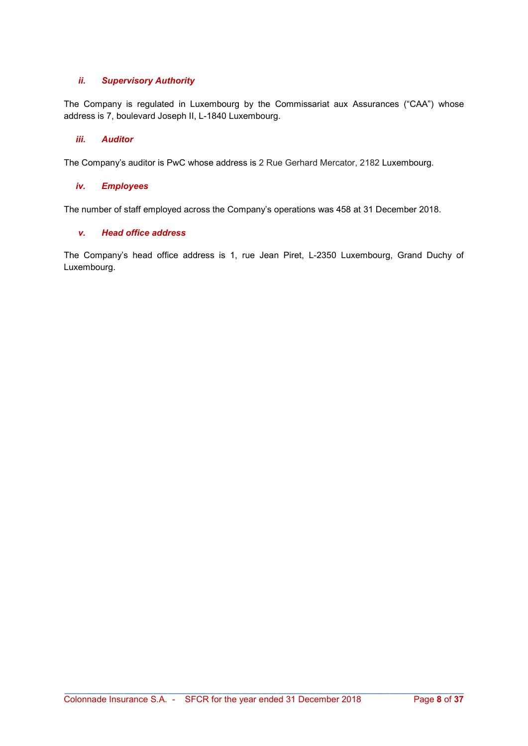#### ii. Supervisory Authority

The Company is regulated in Luxembourg by the Commissariat aux Assurances ("CAA") whose address is 7, boulevard Joseph II, L-1840 Luxembourg.

#### iii. Auditor

The Company's auditor is PwC whose address is 2 Rue Gerhard Mercator, 2182 Luxembourg.

#### iv. Employees

The number of staff employed across the Company's operations was 458 at 31 December 2018.

#### v. Head office address

The Company's head office address is 1, rue Jean Piret, L-2350 Luxembourg, Grand Duchy of Luxembourg.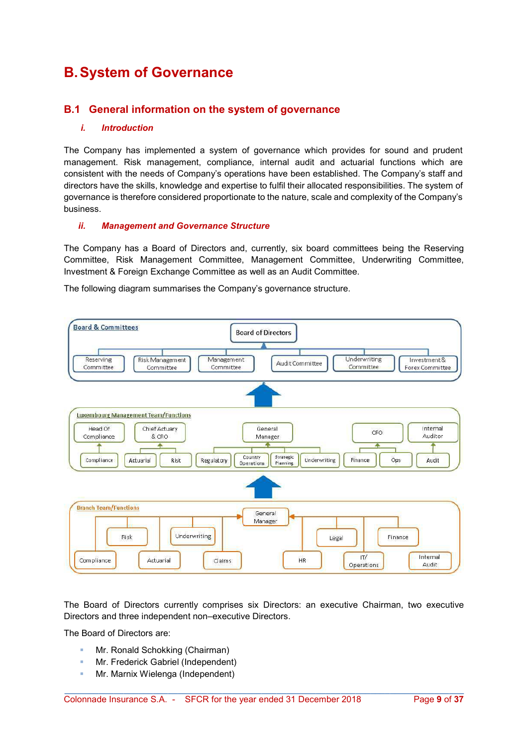## B. System of Governance

### B.1 General information on the system of governance

#### i. Introduction

The Company has implemented a system of governance which provides for sound and prudent management. Risk management, compliance, internal audit and actuarial functions which are consistent with the needs of Company's operations have been established. The Company's staff and directors have the skills, knowledge and expertise to fulfil their allocated responsibilities. The system of governance is therefore considered proportionate to the nature, scale and complexity of the Company's business.

#### ii. Management and Governance Structure

The Company has a Board of Directors and, currently, six board committees being the Reserving Committee, Risk Management Committee, Management Committee, Underwriting Committee, Investment & Foreign Exchange Committee as well as an Audit Committee.

The following diagram summarises the Company's governance structure.



The Board of Directors currently comprises six Directors: an executive Chairman, two executive Directors and three independent non–executive Directors.

\_\_\_\_\_\_\_\_\_\_\_\_\_\_\_\_\_\_\_\_\_\_\_\_\_\_\_\_\_\_\_\_\_\_\_\_\_\_\_\_\_\_\_\_\_\_\_\_\_\_\_\_\_\_\_\_\_\_\_\_\_\_\_\_\_\_\_\_\_\_\_\_\_\_\_\_\_\_\_\_\_

The Board of Directors are:

- Mr. Ronald Schokking (Chairman)
- **Mr. Frederick Gabriel (Independent)**
- **Mr. Marnix Wielenga (Independent)**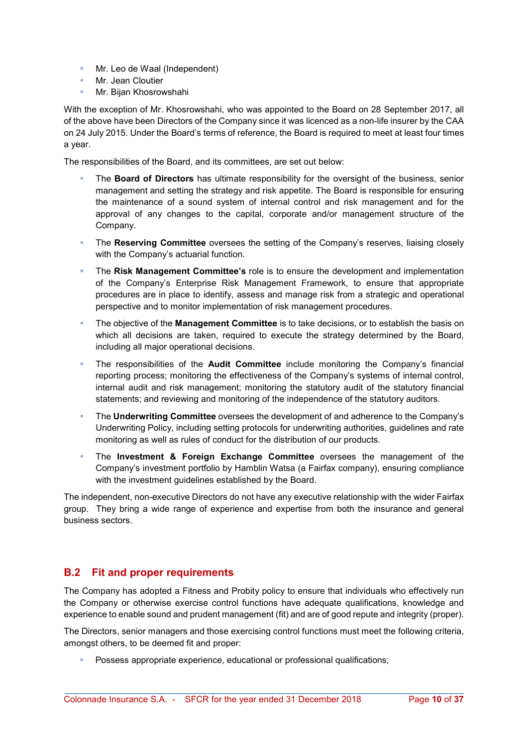- **Mr.** Leo de Waal (Independent)
- **Mr. Jean Cloutier**
- **Mr. Bijan Khosrowshahi**

With the exception of Mr. Khosrowshahi, who was appointed to the Board on 28 September 2017, all of the above have been Directors of the Company since it was licenced as a non-life insurer by the CAA on 24 July 2015. Under the Board's terms of reference, the Board is required to meet at least four times a year.

The responsibilities of the Board, and its committees, are set out below:

- The Board of Directors has ultimate responsibility for the oversight of the business, senior management and setting the strategy and risk appetite. The Board is responsible for ensuring the maintenance of a sound system of internal control and risk management and for the approval of any changes to the capital, corporate and/or management structure of the Company.
- The Reserving Committee oversees the setting of the Company's reserves, liaising closely with the Company's actuarial function.
- The Risk Management Committee's role is to ensure the development and implementation of the Company's Enterprise Risk Management Framework, to ensure that appropriate procedures are in place to identify, assess and manage risk from a strategic and operational perspective and to monitor implementation of risk management procedures.
- The objective of the Management Committee is to take decisions, or to establish the basis on which all decisions are taken, required to execute the strategy determined by the Board, including all major operational decisions.
- **The responsibilities of the Audit Committee include monitoring the Company's financial** reporting process; monitoring the effectiveness of the Company's systems of internal control, internal audit and risk management; monitoring the statutory audit of the statutory financial statements; and reviewing and monitoring of the independence of the statutory auditors.
- **The Underwriting Committee** oversees the development of and adherence to the Company's Underwriting Policy, including setting protocols for underwriting authorities, guidelines and rate monitoring as well as rules of conduct for the distribution of our products.
- **The Investment & Foreign Exchange Committee** oversees the management of the Company's investment portfolio by Hamblin Watsa (a Fairfax company), ensuring compliance with the investment guidelines established by the Board.

The independent, non-executive Directors do not have any executive relationship with the wider Fairfax group. They bring a wide range of experience and expertise from both the insurance and general business sectors.

## B.2 Fit and proper requirements

The Company has adopted a Fitness and Probity policy to ensure that individuals who effectively run the Company or otherwise exercise control functions have adequate qualifications, knowledge and experience to enable sound and prudent management (fit) and are of good repute and integrity (proper).

The Directors, senior managers and those exercising control functions must meet the following criteria, amongst others, to be deemed fit and proper:

\_\_\_\_\_\_\_\_\_\_\_\_\_\_\_\_\_\_\_\_\_\_\_\_\_\_\_\_\_\_\_\_\_\_\_\_\_\_\_\_\_\_\_\_\_\_\_\_\_\_\_\_\_\_\_\_\_\_\_\_\_\_\_\_\_\_\_\_\_\_\_\_\_\_\_\_\_\_\_\_\_

Possess appropriate experience, educational or professional qualifications;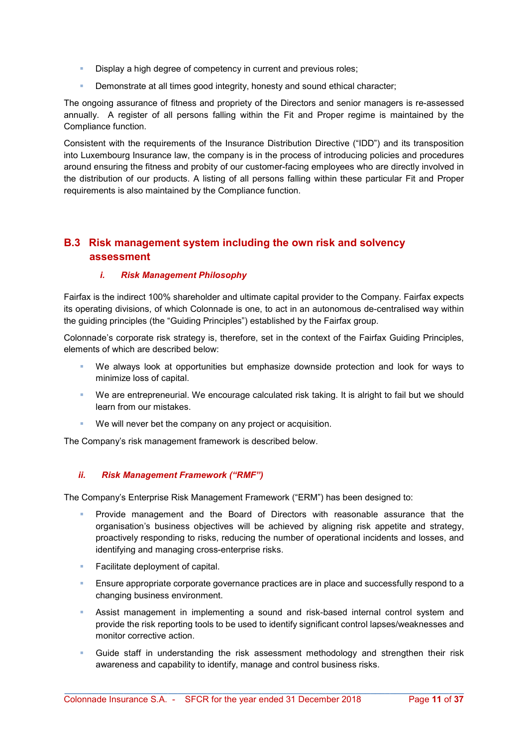- Display a high degree of competency in current and previous roles;
- **Demonstrate at all times good integrity, honesty and sound ethical character;**

The ongoing assurance of fitness and propriety of the Directors and senior managers is re-assessed annually. A register of all persons falling within the Fit and Proper regime is maintained by the Compliance function.

Consistent with the requirements of the Insurance Distribution Directive ("IDD") and its transposition into Luxembourg Insurance law, the company is in the process of introducing policies and procedures around ensuring the fitness and probity of our customer-facing employees who are directly involved in the distribution of our products. A listing of all persons falling within these particular Fit and Proper requirements is also maintained by the Compliance function.

## B.3 Risk management system including the own risk and solvency assessment

#### i. Risk Management Philosophy

Fairfax is the indirect 100% shareholder and ultimate capital provider to the Company. Fairfax expects its operating divisions, of which Colonnade is one, to act in an autonomous de-centralised way within the guiding principles (the "Guiding Principles") established by the Fairfax group.

Colonnade's corporate risk strategy is, therefore, set in the context of the Fairfax Guiding Principles, elements of which are described below:

- We always look at opportunities but emphasize downside protection and look for ways to minimize loss of capital.
- We are entrepreneurial. We encourage calculated risk taking. It is alright to fail but we should learn from our mistakes.
- We will never bet the company on any project or acquisition.

The Company's risk management framework is described below.

#### ii. Risk Management Framework ("RMF")

The Company's Enterprise Risk Management Framework ("ERM") has been designed to:

- Provide management and the Board of Directors with reasonable assurance that the organisation's business objectives will be achieved by aligning risk appetite and strategy, proactively responding to risks, reducing the number of operational incidents and losses, and identifying and managing cross-enterprise risks.
- Facilitate deployment of capital.
- **Ensure appropriate corporate governance practices are in place and successfully respond to a** changing business environment.
- Assist management in implementing a sound and risk-based internal control system and provide the risk reporting tools to be used to identify significant control lapses/weaknesses and monitor corrective action.
- Guide staff in understanding the risk assessment methodology and strengthen their risk awareness and capability to identify, manage and control business risks.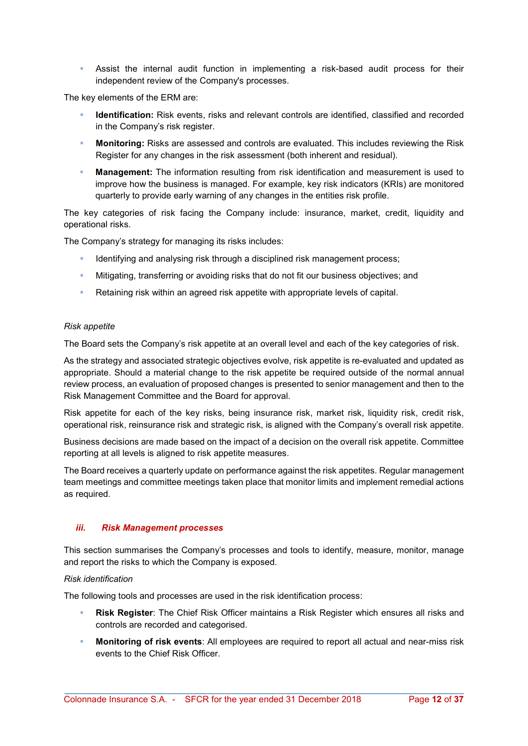Assist the internal audit function in implementing a risk-based audit process for their independent review of the Company's processes.

The key elements of the ERM are:

- Identification: Risk events, risks and relevant controls are identified, classified and recorded in the Company's risk register.
- **Monitoring:** Risks are assessed and controls are evaluated. This includes reviewing the Risk Register for any changes in the risk assessment (both inherent and residual).
- Management: The information resulting from risk identification and measurement is used to improve how the business is managed. For example, key risk indicators (KRIs) are monitored quarterly to provide early warning of any changes in the entities risk profile.

The key categories of risk facing the Company include: insurance, market, credit, liquidity and operational risks.

The Company's strategy for managing its risks includes:

- Identifying and analysing risk through a disciplined risk management process;
- **Mitigating, transferring or avoiding risks that do not fit our business objectives; and**
- Retaining risk within an agreed risk appetite with appropriate levels of capital.

#### Risk appetite

The Board sets the Company's risk appetite at an overall level and each of the key categories of risk.

As the strategy and associated strategic objectives evolve, risk appetite is re-evaluated and updated as appropriate. Should a material change to the risk appetite be required outside of the normal annual review process, an evaluation of proposed changes is presented to senior management and then to the Risk Management Committee and the Board for approval.

Risk appetite for each of the key risks, being insurance risk, market risk, liquidity risk, credit risk, operational risk, reinsurance risk and strategic risk, is aligned with the Company's overall risk appetite.

Business decisions are made based on the impact of a decision on the overall risk appetite. Committee reporting at all levels is aligned to risk appetite measures.

The Board receives a quarterly update on performance against the risk appetites. Regular management team meetings and committee meetings taken place that monitor limits and implement remedial actions as required.

#### iii. Risk Management processes

This section summarises the Company's processes and tools to identify, measure, monitor, manage and report the risks to which the Company is exposed.

#### Risk identification

The following tools and processes are used in the risk identification process:

- Risk Register: The Chief Risk Officer maintains a Risk Register which ensures all risks and controls are recorded and categorised.
- Monitoring of risk events: All employees are required to report all actual and near-miss risk events to the Chief Risk Officer.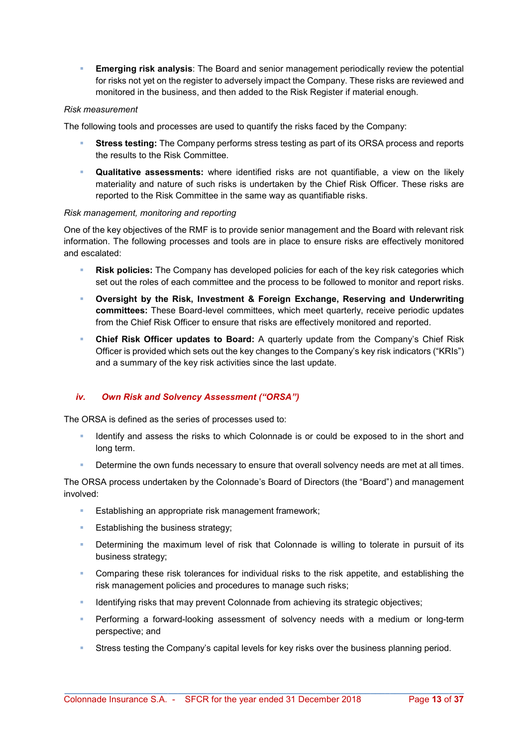**Emerging risk analysis:** The Board and senior management periodically review the potential for risks not yet on the register to adversely impact the Company. These risks are reviewed and monitored in the business, and then added to the Risk Register if material enough.

#### Risk measurement

The following tools and processes are used to quantify the risks faced by the Company:

- Stress testing: The Company performs stress testing as part of its ORSA process and reports the results to the Risk Committee.
- Qualitative assessments: where identified risks are not quantifiable, a view on the likely materiality and nature of such risks is undertaken by the Chief Risk Officer. These risks are reported to the Risk Committee in the same way as quantifiable risks.

#### Risk management, monitoring and reporting

One of the key objectives of the RMF is to provide senior management and the Board with relevant risk information. The following processes and tools are in place to ensure risks are effectively monitored and escalated:

- Risk policies: The Company has developed policies for each of the key risk categories which set out the roles of each committee and the process to be followed to monitor and report risks.
- Oversight by the Risk, Investment & Foreign Exchange, Reserving and Underwriting committees: These Board-level committees, which meet quarterly, receive periodic updates from the Chief Risk Officer to ensure that risks are effectively monitored and reported.
- **Chief Risk Officer updates to Board:** A quarterly update from the Company's Chief Risk Officer is provided which sets out the key changes to the Company's key risk indicators ("KRIs") and a summary of the key risk activities since the last update.

#### iv. Own Risk and Solvency Assessment ("ORSA")

The ORSA is defined as the series of processes used to:

- Identify and assess the risks to which Colonnade is or could be exposed to in the short and long term.
- Determine the own funds necessary to ensure that overall solvency needs are met at all times.

The ORSA process undertaken by the Colonnade's Board of Directors (the "Board") and management involved:

- Establishing an appropriate risk management framework;
- **Establishing the business strategy;**
- Determining the maximum level of risk that Colonnade is willing to tolerate in pursuit of its business strategy;
- **Comparing these risk tolerances for individual risks to the risk appetite, and establishing the** risk management policies and procedures to manage such risks;
- Identifying risks that may prevent Colonnade from achieving its strategic objectives;
- Performing a forward-looking assessment of solvency needs with a medium or long-term perspective; and
- Stress testing the Company's capital levels for key risks over the business planning period.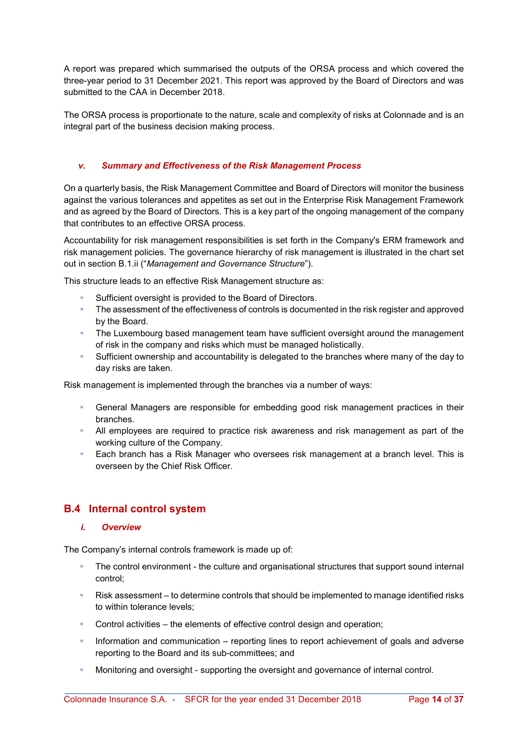A report was prepared which summarised the outputs of the ORSA process and which covered the three-year period to 31 December 2021. This report was approved by the Board of Directors and was submitted to the CAA in December 2018.

The ORSA process is proportionate to the nature, scale and complexity of risks at Colonnade and is an integral part of the business decision making process.

#### v. Summary and Effectiveness of the Risk Management Process

On a quarterly basis, the Risk Management Committee and Board of Directors will monitor the business against the various tolerances and appetites as set out in the Enterprise Risk Management Framework and as agreed by the Board of Directors. This is a key part of the ongoing management of the company that contributes to an effective ORSA process.

Accountability for risk management responsibilities is set forth in the Company's ERM framework and risk management policies. The governance hierarchy of risk management is illustrated in the chart set out in section B.1.ii ("Management and Governance Structure").

This structure leads to an effective Risk Management structure as:

- Sufficient oversight is provided to the Board of Directors.
- **The assessment of the effectiveness of controls is documented in the risk register and approved** by the Board.
- **The Luxembourg based management team have sufficient oversight around the management** of risk in the company and risks which must be managed holistically.
- Sufficient ownership and accountability is delegated to the branches where many of the day to day risks are taken.

Risk management is implemented through the branches via a number of ways:

- General Managers are responsible for embedding good risk management practices in their branches.
- All employees are required to practice risk awareness and risk management as part of the working culture of the Company.
- **Each branch has a Risk Manager who oversees risk management at a branch level. This is** overseen by the Chief Risk Officer.

## B.4 Internal control system

#### i. Overview

The Company's internal controls framework is made up of:

- The control environment the culture and organisational structures that support sound internal control;
- Risk assessment to determine controls that should be implemented to manage identified risks to within tolerance levels;
- Control activities the elements of effective control design and operation;
- **Information and communication reporting lines to report achievement of goals and adverse** reporting to the Board and its sub-committees; and
- Monitoring and oversight supporting the oversight and governance of internal control.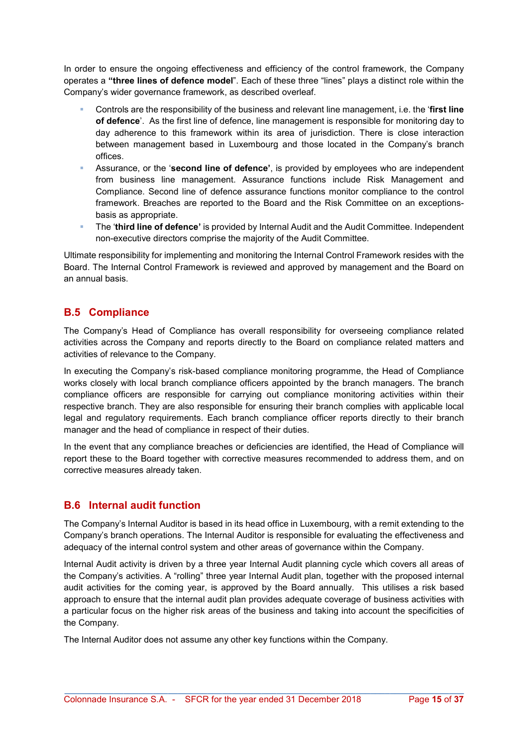In order to ensure the ongoing effectiveness and efficiency of the control framework, the Company operates a "three lines of defence model". Each of these three "lines" plays a distinct role within the Company's wider governance framework, as described overleaf.

- Controls are the responsibility of the business and relevant line management, i.e. the 'first line of defence'. As the first line of defence, line management is responsible for monitoring day to day adherence to this framework within its area of jurisdiction. There is close interaction between management based in Luxembourg and those located in the Company's branch offices.
- Assurance, or the 'second line of defence', is provided by employees who are independent from business line management. Assurance functions include Risk Management and Compliance. Second line of defence assurance functions monitor compliance to the control framework. Breaches are reported to the Board and the Risk Committee on an exceptionsbasis as appropriate.
- **The 'third line of defence'** is provided by Internal Audit and the Audit Committee. Independent non-executive directors comprise the majority of the Audit Committee.

Ultimate responsibility for implementing and monitoring the Internal Control Framework resides with the Board. The Internal Control Framework is reviewed and approved by management and the Board on an annual basis.

## B.5 Compliance

The Company's Head of Compliance has overall responsibility for overseeing compliance related activities across the Company and reports directly to the Board on compliance related matters and activities of relevance to the Company.

In executing the Company's risk-based compliance monitoring programme, the Head of Compliance works closely with local branch compliance officers appointed by the branch managers. The branch compliance officers are responsible for carrying out compliance monitoring activities within their respective branch. They are also responsible for ensuring their branch complies with applicable local legal and regulatory requirements. Each branch compliance officer reports directly to their branch manager and the head of compliance in respect of their duties.

In the event that any compliance breaches or deficiencies are identified, the Head of Compliance will report these to the Board together with corrective measures recommended to address them, and on corrective measures already taken.

## B.6 Internal audit function

The Company's Internal Auditor is based in its head office in Luxembourg, with a remit extending to the Company's branch operations. The Internal Auditor is responsible for evaluating the effectiveness and adequacy of the internal control system and other areas of governance within the Company.

Internal Audit activity is driven by a three year Internal Audit planning cycle which covers all areas of the Company's activities. A "rolling" three year Internal Audit plan, together with the proposed internal audit activities for the coming year, is approved by the Board annually. This utilises a risk based approach to ensure that the internal audit plan provides adequate coverage of business activities with a particular focus on the higher risk areas of the business and taking into account the specificities of the Company.

\_\_\_\_\_\_\_\_\_\_\_\_\_\_\_\_\_\_\_\_\_\_\_\_\_\_\_\_\_\_\_\_\_\_\_\_\_\_\_\_\_\_\_\_\_\_\_\_\_\_\_\_\_\_\_\_\_\_\_\_\_\_\_\_\_\_\_\_\_\_\_\_\_\_\_\_\_\_\_\_\_

The Internal Auditor does not assume any other key functions within the Company.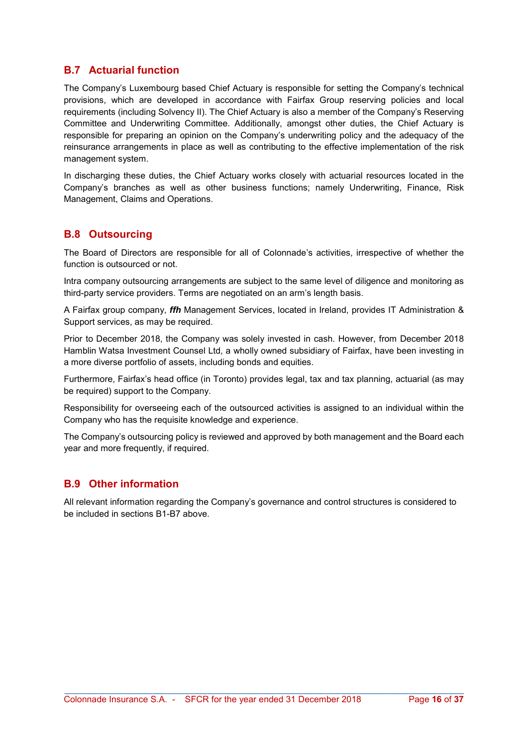## B.7 Actuarial function

The Company's Luxembourg based Chief Actuary is responsible for setting the Company's technical provisions, which are developed in accordance with Fairfax Group reserving policies and local requirements (including Solvency II). The Chief Actuary is also a member of the Company's Reserving Committee and Underwriting Committee. Additionally, amongst other duties, the Chief Actuary is responsible for preparing an opinion on the Company's underwriting policy and the adequacy of the reinsurance arrangements in place as well as contributing to the effective implementation of the risk management system.

In discharging these duties, the Chief Actuary works closely with actuarial resources located in the Company's branches as well as other business functions; namely Underwriting, Finance, Risk Management, Claims and Operations.

## B.8 Outsourcing

The Board of Directors are responsible for all of Colonnade's activities, irrespective of whether the function is outsourced or not.

Intra company outsourcing arrangements are subject to the same level of diligence and monitoring as third-party service providers. Terms are negotiated on an arm's length basis.

A Fairfax group company, *ffh* Management Services, located in Ireland, provides IT Administration & Support services, as may be required.

Prior to December 2018, the Company was solely invested in cash. However, from December 2018 Hamblin Watsa Investment Counsel Ltd, a wholly owned subsidiary of Fairfax, have been investing in a more diverse portfolio of assets, including bonds and equities.

Furthermore, Fairfax's head office (in Toronto) provides legal, tax and tax planning, actuarial (as may be required) support to the Company.

Responsibility for overseeing each of the outsourced activities is assigned to an individual within the Company who has the requisite knowledge and experience.

The Company's outsourcing policy is reviewed and approved by both management and the Board each year and more frequently, if required.

## B.9 Other information

All relevant information regarding the Company's governance and control structures is considered to be included in sections B1-B7 above.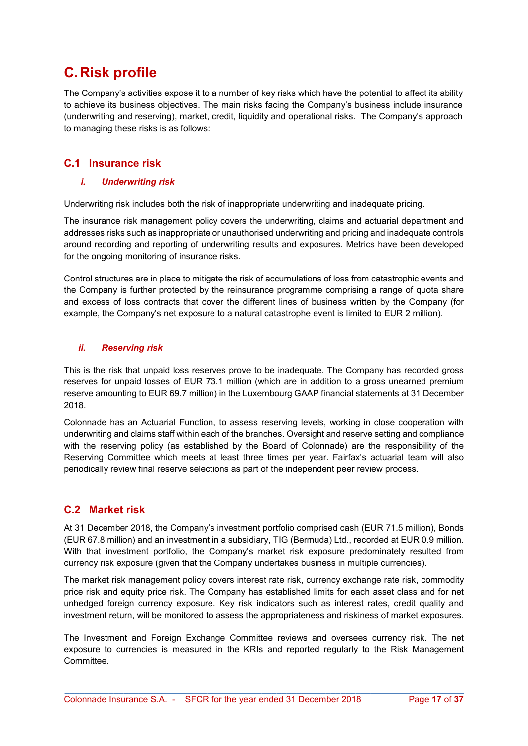## C. Risk profile

The Company's activities expose it to a number of key risks which have the potential to affect its ability to achieve its business objectives. The main risks facing the Company's business include insurance (underwriting and reserving), market, credit, liquidity and operational risks. The Company's approach to managing these risks is as follows:

## C.1 Insurance risk

#### i. Underwriting risk

Underwriting risk includes both the risk of inappropriate underwriting and inadequate pricing.

The insurance risk management policy covers the underwriting, claims and actuarial department and addresses risks such as inappropriate or unauthorised underwriting and pricing and inadequate controls around recording and reporting of underwriting results and exposures. Metrics have been developed for the ongoing monitoring of insurance risks.

Control structures are in place to mitigate the risk of accumulations of loss from catastrophic events and the Company is further protected by the reinsurance programme comprising a range of quota share and excess of loss contracts that cover the different lines of business written by the Company (for example, the Company's net exposure to a natural catastrophe event is limited to EUR 2 million).

#### ii. Reserving risk

This is the risk that unpaid loss reserves prove to be inadequate. The Company has recorded gross reserves for unpaid losses of EUR 73.1 million (which are in addition to a gross unearned premium reserve amounting to EUR 69.7 million) in the Luxembourg GAAP financial statements at 31 December 2018.

Colonnade has an Actuarial Function, to assess reserving levels, working in close cooperation with underwriting and claims staff within each of the branches. Oversight and reserve setting and compliance with the reserving policy (as established by the Board of Colonnade) are the responsibility of the Reserving Committee which meets at least three times per year. Fairfax's actuarial team will also periodically review final reserve selections as part of the independent peer review process.

## C.2 Market risk

At 31 December 2018, the Company's investment portfolio comprised cash (EUR 71.5 million), Bonds (EUR 67.8 million) and an investment in a subsidiary, TIG (Bermuda) Ltd., recorded at EUR 0.9 million. With that investment portfolio, the Company's market risk exposure predominately resulted from currency risk exposure (given that the Company undertakes business in multiple currencies).

The market risk management policy covers interest rate risk, currency exchange rate risk, commodity price risk and equity price risk. The Company has established limits for each asset class and for net unhedged foreign currency exposure. Key risk indicators such as interest rates, credit quality and investment return, will be monitored to assess the appropriateness and riskiness of market exposures.

The Investment and Foreign Exchange Committee reviews and oversees currency risk. The net exposure to currencies is measured in the KRIs and reported regularly to the Risk Management Committee.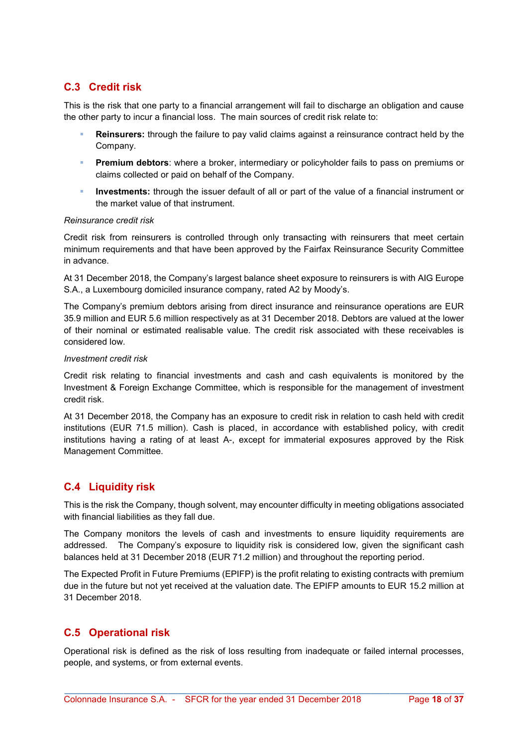## C.3 Credit risk

This is the risk that one party to a financial arrangement will fail to discharge an obligation and cause the other party to incur a financial loss. The main sources of credit risk relate to:

- Reinsurers: through the failure to pay valid claims against a reinsurance contract held by the Company.
- **Premium debtors**: where a broker, intermediary or policyholder fails to pass on premiums or claims collected or paid on behalf of the Company.
- **Investments:** through the issuer default of all or part of the value of a financial instrument or the market value of that instrument.

#### Reinsurance credit risk

Credit risk from reinsurers is controlled through only transacting with reinsurers that meet certain minimum requirements and that have been approved by the Fairfax Reinsurance Security Committee in advance.

At 31 December 2018, the Company's largest balance sheet exposure to reinsurers is with AIG Europe S.A., a Luxembourg domiciled insurance company, rated A2 by Moody's.

The Company's premium debtors arising from direct insurance and reinsurance operations are EUR 35.9 million and EUR 5.6 million respectively as at 31 December 2018. Debtors are valued at the lower of their nominal or estimated realisable value. The credit risk associated with these receivables is considered low.

#### Investment credit risk

Credit risk relating to financial investments and cash and cash equivalents is monitored by the Investment & Foreign Exchange Committee, which is responsible for the management of investment credit risk.

At 31 December 2018, the Company has an exposure to credit risk in relation to cash held with credit institutions (EUR 71.5 million). Cash is placed, in accordance with established policy, with credit institutions having a rating of at least A-, except for immaterial exposures approved by the Risk Management Committee.

## C.4 Liquidity risk

This is the risk the Company, though solvent, may encounter difficulty in meeting obligations associated with financial liabilities as they fall due.

The Company monitors the levels of cash and investments to ensure liquidity requirements are addressed. The Company's exposure to liquidity risk is considered low, given the significant cash balances held at 31 December 2018 (EUR 71.2 million) and throughout the reporting period.

The Expected Profit in Future Premiums (EPIFP) is the profit relating to existing contracts with premium due in the future but not yet received at the valuation date. The EPIFP amounts to EUR 15.2 million at 31 December 2018.

## C.5 Operational risk

Operational risk is defined as the risk of loss resulting from inadequate or failed internal processes, people, and systems, or from external events.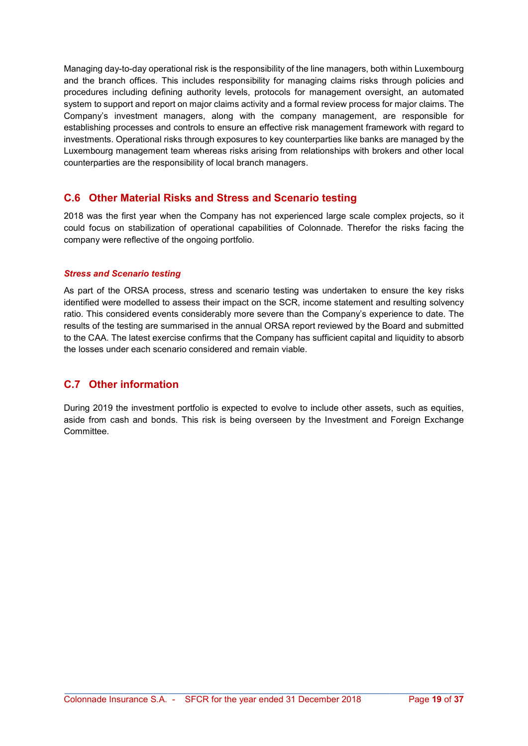Managing day-to-day operational risk is the responsibility of the line managers, both within Luxembourg and the branch offices. This includes responsibility for managing claims risks through policies and procedures including defining authority levels, protocols for management oversight, an automated system to support and report on major claims activity and a formal review process for major claims. The Company's investment managers, along with the company management, are responsible for establishing processes and controls to ensure an effective risk management framework with regard to investments. Operational risks through exposures to key counterparties like banks are managed by the Luxembourg management team whereas risks arising from relationships with brokers and other local counterparties are the responsibility of local branch managers.

## C.6 Other Material Risks and Stress and Scenario testing

2018 was the first year when the Company has not experienced large scale complex projects, so it could focus on stabilization of operational capabilities of Colonnade. Therefor the risks facing the company were reflective of the ongoing portfolio.

#### Stress and Scenario testing

As part of the ORSA process, stress and scenario testing was undertaken to ensure the key risks identified were modelled to assess their impact on the SCR, income statement and resulting solvency ratio. This considered events considerably more severe than the Company's experience to date. The results of the testing are summarised in the annual ORSA report reviewed by the Board and submitted to the CAA. The latest exercise confirms that the Company has sufficient capital and liquidity to absorb the losses under each scenario considered and remain viable.

## C.7 Other information

During 2019 the investment portfolio is expected to evolve to include other assets, such as equities, aside from cash and bonds. This risk is being overseen by the Investment and Foreign Exchange **Committee**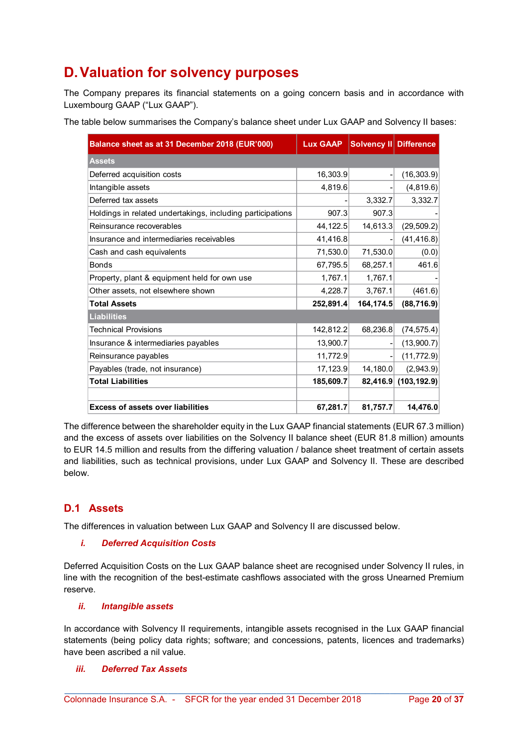## D. Valuation for solvency purposes

The Company prepares its financial statements on a going concern basis and in accordance with Luxembourg GAAP ("Lux GAAP").

The table below summarises the Company's balance sheet under Lux GAAP and Solvency II bases:

| Balance sheet as at 31 December 2018 (EUR'000)             | <b>Lux GAAP</b> | Solvency II Difference |              |
|------------------------------------------------------------|-----------------|------------------------|--------------|
| <b>Assets</b>                                              |                 |                        |              |
| Deferred acquisition costs                                 | 16,303.9        |                        | (16, 303.9)  |
| Intangible assets                                          | 4,819.6         |                        | (4,819.6)    |
| Deferred tax assets                                        |                 | 3,332.7                | 3,332.7      |
| Holdings in related undertakings, including participations | 907.3           | 907.3                  |              |
| Reinsurance recoverables                                   | 44,122.5        | 14,613.3               | (29, 509.2)  |
| Insurance and intermediaries receivables                   | 41,416.8        |                        | (41, 416.8)  |
| Cash and cash equivalents                                  | 71,530.0        | 71,530.0               | (0.0)        |
| <b>Bonds</b>                                               | 67,795.5        | 68,257.1               | 461.6        |
| Property, plant & equipment held for own use               | 1,767.1         | 1,767.1                |              |
| Other assets, not elsewhere shown                          | 4,228.7         | 3,767.1                | (461.6)      |
| <b>Total Assets</b>                                        | 252,891.4       | 164,174.5              | (88, 716.9)  |
| <b>Liabilities</b>                                         |                 |                        |              |
| <b>Technical Provisions</b>                                | 142,812.2       | 68,236.8               | (74, 575.4)  |
| Insurance & intermediaries payables                        | 13,900.7        |                        | (13,900.7)   |
| Reinsurance payables                                       | 11,772.9        |                        | (11, 772.9)  |
| Payables (trade, not insurance)                            | 17,123.9        | 14, 180.0              | (2,943.9)    |
| <b>Total Liabilities</b>                                   | 185,609.7       | 82,416.9               | (103, 192.9) |
| <b>Excess of assets over liabilities</b>                   | 67,281.7        | 81,757.7               | 14,476.0     |

The difference between the shareholder equity in the Lux GAAP financial statements (EUR 67.3 million) and the excess of assets over liabilities on the Solvency II balance sheet (EUR 81.8 million) amounts to EUR 14.5 million and results from the differing valuation / balance sheet treatment of certain assets and liabilities, such as technical provisions, under Lux GAAP and Solvency II. These are described below.

## D.1 Assets

The differences in valuation between Lux GAAP and Solvency II are discussed below.

#### i. Deferred Acquisition Costs

Deferred Acquisition Costs on the Lux GAAP balance sheet are recognised under Solvency II rules, in line with the recognition of the best-estimate cashflows associated with the gross Unearned Premium reserve.

#### ii. Intangible assets

In accordance with Solvency II requirements, intangible assets recognised in the Lux GAAP financial statements (being policy data rights; software; and concessions, patents, licences and trademarks) have been ascribed a nil value.

\_\_\_\_\_\_\_\_\_\_\_\_\_\_\_\_\_\_\_\_\_\_\_\_\_\_\_\_\_\_\_\_\_\_\_\_\_\_\_\_\_\_\_\_\_\_\_\_\_\_\_\_\_\_\_\_\_\_\_\_\_\_\_\_\_\_\_\_\_\_\_\_\_\_\_\_\_\_\_\_\_

#### iii. Deferred Tax Assets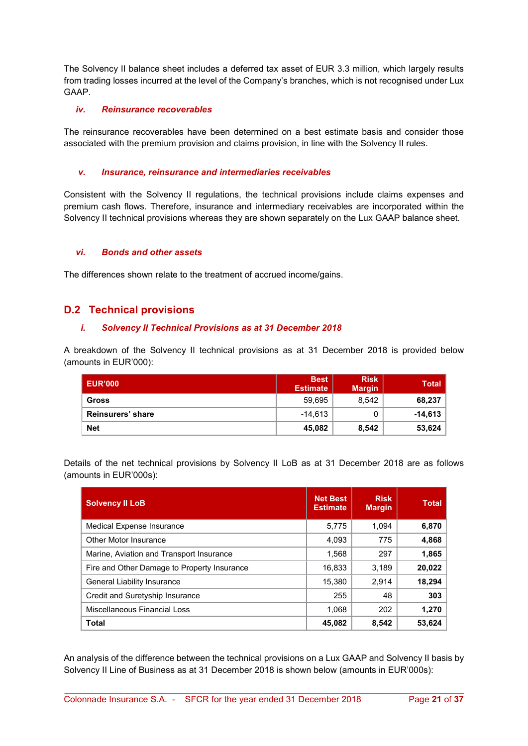The Solvency II balance sheet includes a deferred tax asset of EUR 3.3 million, which largely results from trading losses incurred at the level of the Company's branches, which is not recognised under Lux GAAP.

#### iv. Reinsurance recoverables

The reinsurance recoverables have been determined on a best estimate basis and consider those associated with the premium provision and claims provision, in line with the Solvency II rules.

#### v. Insurance, reinsurance and intermediaries receivables

Consistent with the Solvency II regulations, the technical provisions include claims expenses and premium cash flows. Therefore, insurance and intermediary receivables are incorporated within the Solvency II technical provisions whereas they are shown separately on the Lux GAAP balance sheet.

#### vi. Bonds and other assets

The differences shown relate to the treatment of accrued income/gains.

#### D.2 Technical provisions

#### i. Solvency II Technical Provisions as at 31 December 2018

A breakdown of the Solvency II technical provisions as at 31 December 2018 is provided below (amounts in EUR'000):

| <b>LEUR'000</b>   | <b>Best</b><br><b>Estimate</b> | <b>Risk</b><br><b>Margin</b> | <b>Total</b> |
|-------------------|--------------------------------|------------------------------|--------------|
| <b>Gross</b>      | 59,695                         | 8.542                        | 68,237       |
| Reinsurers' share | $-14.613$                      |                              | $-14,613$    |
| <b>Net</b>        | 45,082                         | 8,542                        | 53,624       |

Details of the net technical provisions by Solvency II LoB as at 31 December 2018 are as follows (amounts in EUR'000s):

| <b>Solvency II LoB</b>                      | <b>Net Best</b><br><b>Estimate</b> | <b>Risk</b><br><b>Margin</b> | <b>Total</b> |
|---------------------------------------------|------------------------------------|------------------------------|--------------|
| Medical Expense Insurance                   | 5,775                              | 1.094                        | 6,870        |
| Other Motor Insurance                       | 4,093                              | 775                          | 4,868        |
| Marine, Aviation and Transport Insurance    | 1,568                              | 297                          | 1,865        |
| Fire and Other Damage to Property Insurance | 16,833                             | 3.189                        | 20,022       |
| <b>General Liability Insurance</b>          | 15,380                             | 2.914                        | 18,294       |
| Credit and Suretyship Insurance             | 255                                | 48                           | 303          |
| Miscellaneous Financial Loss                | 1.068                              | 202                          | 1,270        |
| <b>Total</b>                                | 45,082                             | 8,542                        | 53,624       |

An analysis of the difference between the technical provisions on a Lux GAAP and Solvency II basis by Solvency II Line of Business as at 31 December 2018 is shown below (amounts in EUR'000s):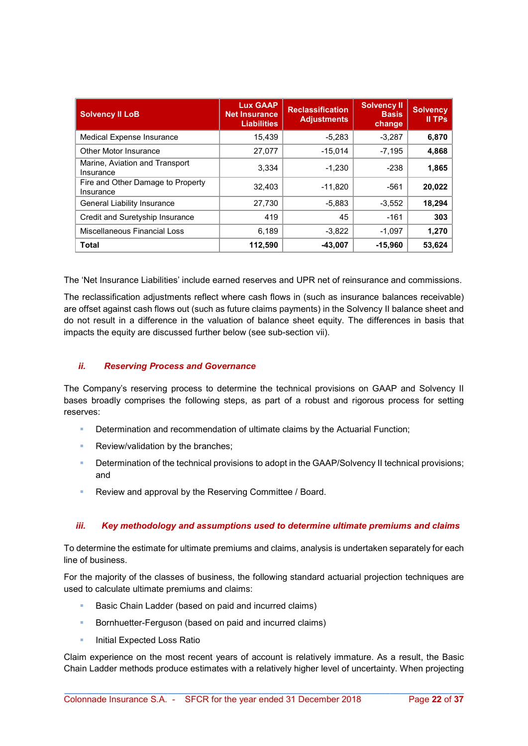| <b>Solvency II LoB</b>                         | <b>Lux GAAP</b><br><b>Net Insurance</b><br><b>Liabilities</b> | <b>Reclassification</b><br><b>Adjustments</b> | <b>Solvency II</b><br><b>Basis</b><br>change | <b>Solvency</b><br>II TPs |
|------------------------------------------------|---------------------------------------------------------------|-----------------------------------------------|----------------------------------------------|---------------------------|
| Medical Expense Insurance                      | 15,439                                                        | $-5,283$                                      | $-3,287$                                     | 6,870                     |
| Other Motor Insurance                          | 27,077                                                        | $-15.014$                                     | $-7,195$                                     | 4,868                     |
| Marine, Aviation and Transport<br>Insurance    | 3.334                                                         | $-1.230$                                      | $-238$                                       | 1,865                     |
| Fire and Other Damage to Property<br>Insurance | 32,403                                                        | $-11,820$                                     | -561                                         | 20,022                    |
| <b>General Liability Insurance</b>             | 27,730                                                        | $-5,883$                                      | $-3,552$                                     | 18,294                    |
| Credit and Suretyship Insurance                | 419                                                           | 45                                            | $-161$                                       | 303                       |
| Miscellaneous Financial Loss                   | 6,189                                                         | $-3,822$                                      | $-1,097$                                     | 1,270                     |
| <b>Total</b>                                   | 112,590                                                       | -43,007                                       | $-15,960$                                    | 53,624                    |

The 'Net Insurance Liabilities' include earned reserves and UPR net of reinsurance and commissions.

The reclassification adjustments reflect where cash flows in (such as insurance balances receivable) are offset against cash flows out (such as future claims payments) in the Solvency II balance sheet and do not result in a difference in the valuation of balance sheet equity. The differences in basis that impacts the equity are discussed further below (see sub-section vii).

#### ii. Reserving Process and Governance

The Company's reserving process to determine the technical provisions on GAAP and Solvency II bases broadly comprises the following steps, as part of a robust and rigorous process for setting reserves:

- **Determination and recommendation of ultimate claims by the Actuarial Function;**
- **Review/validation by the branches:**
- Determination of the technical provisions to adopt in the GAAP/Solvency II technical provisions; and
- **Review and approval by the Reserving Committee / Board.**

#### iii. Key methodology and assumptions used to determine ultimate premiums and claims

To determine the estimate for ultimate premiums and claims, analysis is undertaken separately for each line of business.

For the majority of the classes of business, the following standard actuarial projection techniques are used to calculate ultimate premiums and claims:

- Basic Chain Ladder (based on paid and incurred claims)
- **Bornhuetter-Ferguson (based on paid and incurred claims)**
- **Initial Expected Loss Ratio**

Claim experience on the most recent years of account is relatively immature. As a result, the Basic Chain Ladder methods produce estimates with a relatively higher level of uncertainty. When projecting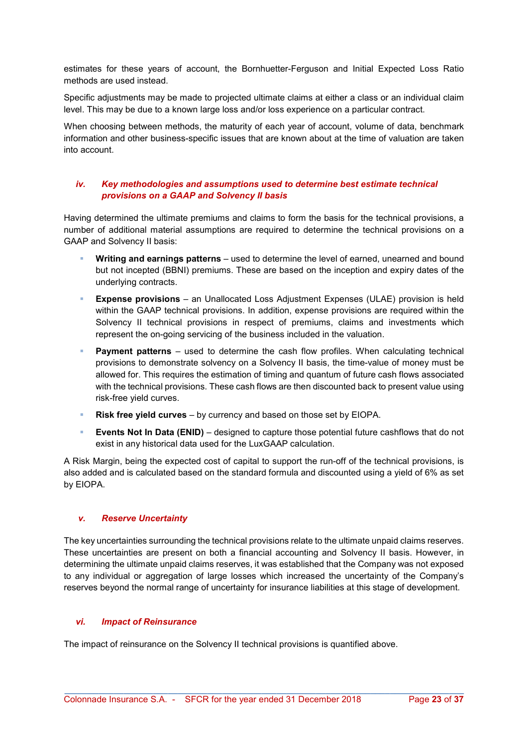estimates for these years of account, the Bornhuetter-Ferguson and Initial Expected Loss Ratio methods are used instead.

Specific adjustments may be made to projected ultimate claims at either a class or an individual claim level. This may be due to a known large loss and/or loss experience on a particular contract.

When choosing between methods, the maturity of each year of account, volume of data, benchmark information and other business-specific issues that are known about at the time of valuation are taken into account.

#### iv. Key methodologies and assumptions used to determine best estimate technical provisions on a GAAP and Solvency II basis

Having determined the ultimate premiums and claims to form the basis for the technical provisions, a number of additional material assumptions are required to determine the technical provisions on a GAAP and Solvency II basis:

- Writing and earnings patterns used to determine the level of earned, unearned and bound but not incepted (BBNI) premiums. These are based on the inception and expiry dates of the underlying contracts.
- Expense provisions an Unallocated Loss Adjustment Expenses (ULAE) provision is held within the GAAP technical provisions. In addition, expense provisions are required within the Solvency II technical provisions in respect of premiums, claims and investments which represent the on-going servicing of the business included in the valuation.
- **Payment patterns** used to determine the cash flow profiles. When calculating technical provisions to demonstrate solvency on a Solvency II basis, the time-value of money must be allowed for. This requires the estimation of timing and quantum of future cash flows associated with the technical provisions. These cash flows are then discounted back to present value using risk-free yield curves.
- Risk free yield curves by currency and based on those set by EIOPA.
- **Events Not In Data (ENID)** designed to capture those potential future cashflows that do not exist in any historical data used for the LuxGAAP calculation.

A Risk Margin, being the expected cost of capital to support the run-off of the technical provisions, is also added and is calculated based on the standard formula and discounted using a yield of 6% as set by EIOPA.

#### v. Reserve Uncertainty

The key uncertainties surrounding the technical provisions relate to the ultimate unpaid claims reserves. These uncertainties are present on both a financial accounting and Solvency II basis. However, in determining the ultimate unpaid claims reserves, it was established that the Company was not exposed to any individual or aggregation of large losses which increased the uncertainty of the Company's reserves beyond the normal range of uncertainty for insurance liabilities at this stage of development.

\_\_\_\_\_\_\_\_\_\_\_\_\_\_\_\_\_\_\_\_\_\_\_\_\_\_\_\_\_\_\_\_\_\_\_\_\_\_\_\_\_\_\_\_\_\_\_\_\_\_\_\_\_\_\_\_\_\_\_\_\_\_\_\_\_\_\_\_\_\_\_\_\_\_\_\_\_\_\_\_\_

#### vi. Impact of Reinsurance

The impact of reinsurance on the Solvency II technical provisions is quantified above.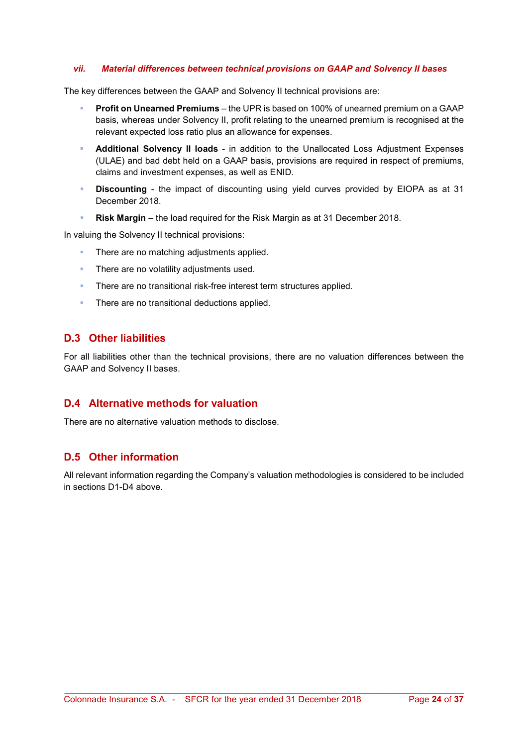#### vii. Material differences between technical provisions on GAAP and Solvency II bases

The key differences between the GAAP and Solvency II technical provisions are:

- Profit on Unearned Premiums the UPR is based on 100% of unearned premium on a GAAP basis, whereas under Solvency II, profit relating to the unearned premium is recognised at the relevant expected loss ratio plus an allowance for expenses.
- Additional Solvency II loads in addition to the Unallocated Loss Adjustment Expenses (ULAE) and bad debt held on a GAAP basis, provisions are required in respect of premiums, claims and investment expenses, as well as ENID.
- Discounting the impact of discounting using yield curves provided by EIOPA as at 31 December 2018.
- Risk Margin the load required for the Risk Margin as at 31 December 2018.

In valuing the Solvency II technical provisions:

- There are no matching adjustments applied.
- **There are no volatility adjustments used.**
- There are no transitional risk-free interest term structures applied.
- **There are no transitional deductions applied.**

#### D.3 Other liabilities

For all liabilities other than the technical provisions, there are no valuation differences between the GAAP and Solvency II bases.

#### D.4 Alternative methods for valuation

There are no alternative valuation methods to disclose.

#### D.5 Other information

All relevant information regarding the Company's valuation methodologies is considered to be included in sections D1-D4 above.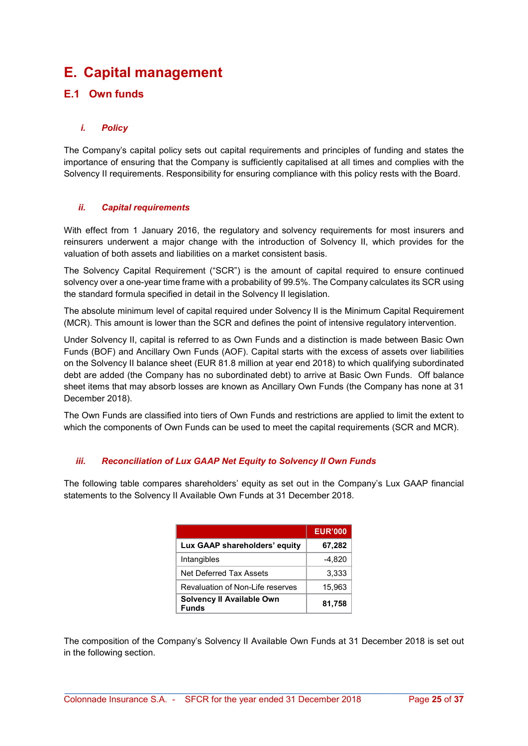## E. Capital management

## E.1 Own funds

#### i. Policy

The Company's capital policy sets out capital requirements and principles of funding and states the importance of ensuring that the Company is sufficiently capitalised at all times and complies with the Solvency II requirements. Responsibility for ensuring compliance with this policy rests with the Board.

#### ii. Capital requirements

With effect from 1 January 2016, the regulatory and solvency requirements for most insurers and reinsurers underwent a major change with the introduction of Solvency II, which provides for the valuation of both assets and liabilities on a market consistent basis.

The Solvency Capital Requirement ("SCR") is the amount of capital required to ensure continued solvency over a one-year time frame with a probability of 99.5%. The Company calculates its SCR using the standard formula specified in detail in the Solvency II legislation.

The absolute minimum level of capital required under Solvency II is the Minimum Capital Requirement (MCR). This amount is lower than the SCR and defines the point of intensive regulatory intervention.

Under Solvency II, capital is referred to as Own Funds and a distinction is made between Basic Own Funds (BOF) and Ancillary Own Funds (AOF). Capital starts with the excess of assets over liabilities on the Solvency II balance sheet (EUR 81.8 million at year end 2018) to which qualifying subordinated debt are added (the Company has no subordinated debt) to arrive at Basic Own Funds. Off balance sheet items that may absorb losses are known as Ancillary Own Funds (the Company has none at 31 December 2018).

The Own Funds are classified into tiers of Own Funds and restrictions are applied to limit the extent to which the components of Own Funds can be used to meet the capital requirements (SCR and MCR).

#### iii. Reconciliation of Lux GAAP Net Equity to Solvency II Own Funds

The following table compares shareholders' equity as set out in the Company's Lux GAAP financial statements to the Solvency II Available Own Funds at 31 December 2018.

|                                           | <b>EUR'000</b> |
|-------------------------------------------|----------------|
| Lux GAAP shareholders' equity             | 67,282         |
| Intangibles                               | $-4.820$       |
| Net Deferred Tax Assets                   | 3,333          |
| Revaluation of Non-Life reserves          | 15,963         |
| Solvency II Available Own<br><b>Funds</b> | 81,758         |

The composition of the Company's Solvency II Available Own Funds at 31 December 2018 is set out in the following section.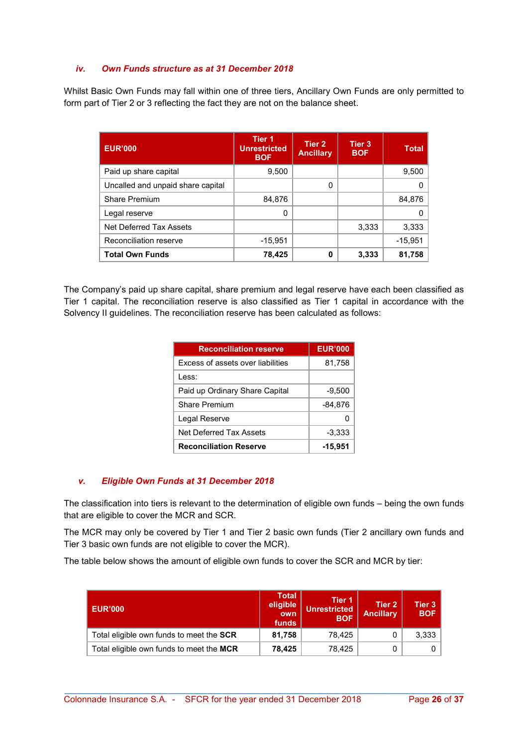#### iv. Own Funds structure as at 31 December 2018

Whilst Basic Own Funds may fall within one of three tiers, Ancillary Own Funds are only permitted to form part of Tier 2 or 3 reflecting the fact they are not on the balance sheet.

| <b>EUR'000</b>                    | Tier <sub>1</sub><br><b>Unrestricted</b><br><b>BOF</b> | Tier 2<br><b>Ancillary</b> | Tier <sub>3</sub><br><b>BOF</b> | <b>Total</b> |
|-----------------------------------|--------------------------------------------------------|----------------------------|---------------------------------|--------------|
| Paid up share capital             | 9,500                                                  |                            |                                 | 9,500        |
| Uncalled and unpaid share capital |                                                        | 0                          |                                 |              |
| <b>Share Premium</b>              | 84,876                                                 |                            |                                 | 84,876       |
| Legal reserve                     | 0                                                      |                            |                                 |              |
| Net Deferred Tax Assets           |                                                        |                            | 3,333                           | 3,333        |
| Reconciliation reserve            | $-15.951$                                              |                            |                                 | $-15.951$    |
| <b>Total Own Funds</b>            | 78,425                                                 | 0                          | 3.333                           | 81,758       |

The Company's paid up share capital, share premium and legal reserve have each been classified as Tier 1 capital. The reconciliation reserve is also classified as Tier 1 capital in accordance with the Solvency II guidelines. The reconciliation reserve has been calculated as follows:

| <b>Reconciliation reserve</b>            | <b>EUR'000</b> |
|------------------------------------------|----------------|
| <b>Excess of assets over liabilities</b> | 81,758         |
| l ess:                                   |                |
| Paid up Ordinary Share Capital           | $-9,500$       |
| <b>Share Premium</b>                     | -84,876        |
| Legal Reserve                            |                |
| Net Deferred Tax Assets                  | $-3,333$       |
| <b>Reconciliation Reserve</b>            | $-15,951$      |

#### v. Eligible Own Funds at 31 December 2018

The classification into tiers is relevant to the determination of eligible own funds – being the own funds that are eligible to cover the MCR and SCR.

The MCR may only be covered by Tier 1 and Tier 2 basic own funds (Tier 2 ancillary own funds and Tier 3 basic own funds are not eligible to cover the MCR).

The table below shows the amount of eligible own funds to cover the SCR and MCR by tier:

| <b>EUR'000</b>                           | <b>Total</b><br>eligible<br>own<br>funds | Tier 1<br><b>Unrestricted</b><br><b>BOF</b> | Tier 2<br><b>Ancillary</b> | Tier 3<br><b>BOF</b> |
|------------------------------------------|------------------------------------------|---------------------------------------------|----------------------------|----------------------|
| Total eligible own funds to meet the SCR | 81,758                                   | 78.425                                      |                            | 3,333                |
| Total eligible own funds to meet the MCR | 78,425                                   | 78.425                                      |                            |                      |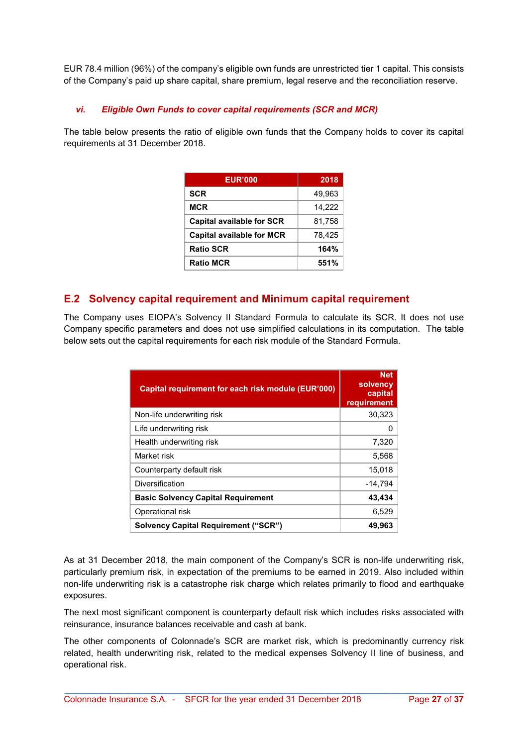EUR 78.4 million (96%) of the company's eligible own funds are unrestricted tier 1 capital. This consists of the Company's paid up share capital, share premium, legal reserve and the reconciliation reserve.

#### vi. Eligible Own Funds to cover capital requirements (SCR and MCR)

The table below presents the ratio of eligible own funds that the Company holds to cover its capital requirements at 31 December 2018.

| <b>EUR'000</b>                   | 2018   |
|----------------------------------|--------|
| <b>SCR</b>                       | 49,963 |
| MCR                              | 14,222 |
| <b>Capital available for SCR</b> | 81,758 |
| <b>Capital available for MCR</b> | 78,425 |
| <b>Ratio SCR</b>                 | 164%   |
| <b>Ratio MCR</b>                 | 551%   |

#### E.2 Solvency capital requirement and Minimum capital requirement

The Company uses EIOPA's Solvency II Standard Formula to calculate its SCR. It does not use Company specific parameters and does not use simplified calculations in its computation. The table below sets out the capital requirements for each risk module of the Standard Formula.

| Capital requirement for each risk module (EUR'000) | <b>Net</b><br>solvency<br>capital<br>requirement |
|----------------------------------------------------|--------------------------------------------------|
| Non-life underwriting risk                         | 30,323                                           |
| Life underwriting risk                             | O                                                |
| Health underwriting risk                           | 7,320                                            |
| Market risk                                        | 5,568                                            |
| Counterparty default risk                          | 15,018                                           |
| Diversification                                    | $-14,794$                                        |
| <b>Basic Solvency Capital Requirement</b>          | 43,434                                           |
| Operational risk                                   | 6,529                                            |
| <b>Solvency Capital Requirement ("SCR")</b>        | 49,963                                           |

As at 31 December 2018, the main component of the Company's SCR is non-life underwriting risk, particularly premium risk, in expectation of the premiums to be earned in 2019. Also included within non-life underwriting risk is a catastrophe risk charge which relates primarily to flood and earthquake exposures.

The next most significant component is counterparty default risk which includes risks associated with reinsurance, insurance balances receivable and cash at bank.

The other components of Colonnade's SCR are market risk, which is predominantly currency risk related, health underwriting risk, related to the medical expenses Solvency II line of business, and operational risk.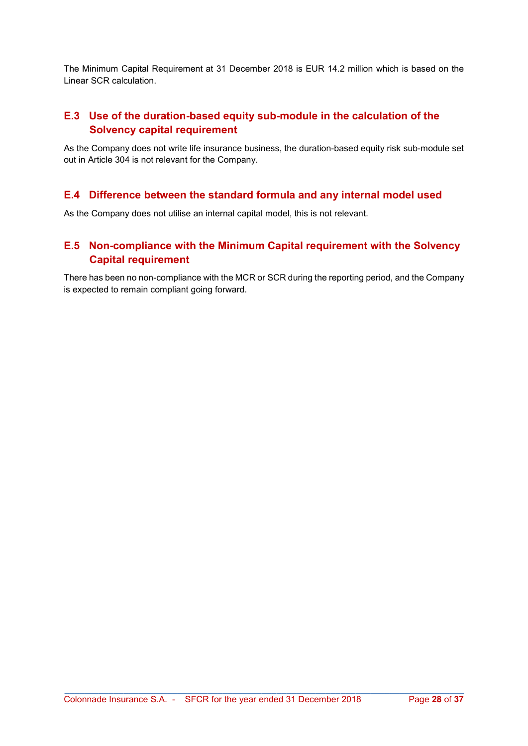The Minimum Capital Requirement at 31 December 2018 is EUR 14.2 million which is based on the Linear SCR calculation.

## E.3 Use of the duration-based equity sub-module in the calculation of the Solvency capital requirement

As the Company does not write life insurance business, the duration-based equity risk sub-module set out in Article 304 is not relevant for the Company.

## E.4 Difference between the standard formula and any internal model used

As the Company does not utilise an internal capital model, this is not relevant.

## E.5 Non-compliance with the Minimum Capital requirement with the Solvency Capital requirement

There has been no non-compliance with the MCR or SCR during the reporting period, and the Company is expected to remain compliant going forward.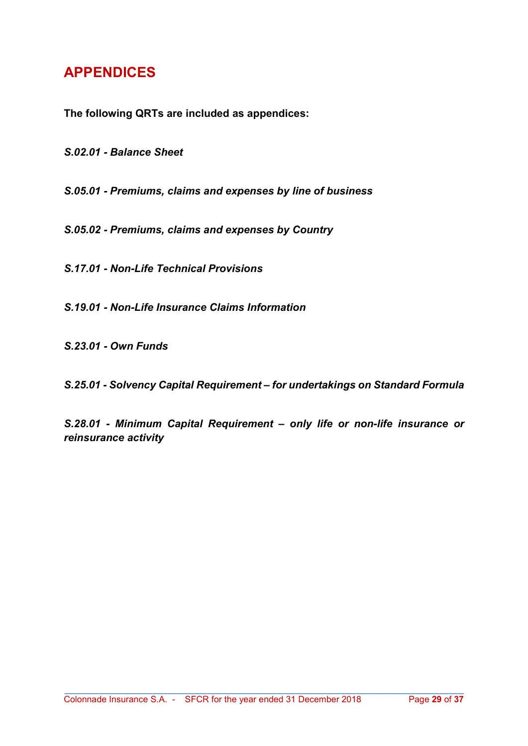## APPENDICES

The following QRTs are included as appendices:

S.02.01 - Balance Sheet

S.05.01 - Premiums, claims and expenses by line of business

S.05.02 - Premiums, claims and expenses by Country

S.17.01 - Non-Life Technical Provisions

S.19.01 - Non-Life Insurance Claims Information

S.23.01 - Own Funds

S.25.01 - Solvency Capital Requirement – for undertakings on Standard Formula

S.28.01 - Minimum Capital Requirement – only life or non-life insurance or reinsurance activity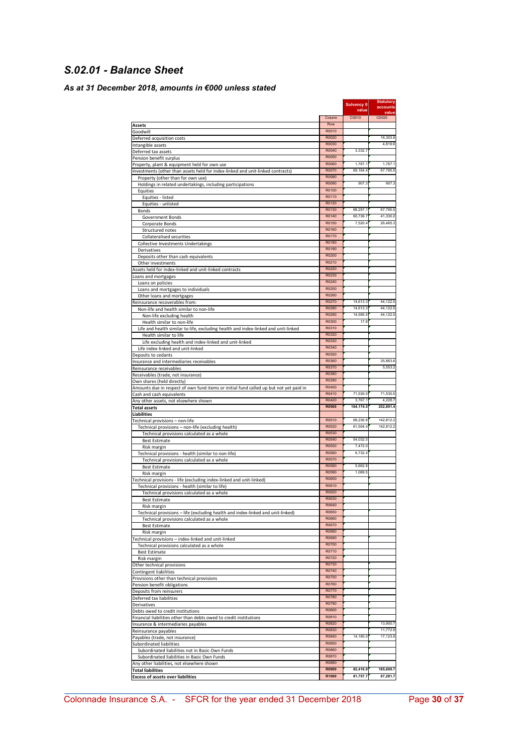## S.02.01 - Balance Sheet

#### As at 31 December 2018, amounts in €000 unless stated

|                                                                                                                      |                       | Solvency II<br>value | <b>Statutory</b><br>accounts |
|----------------------------------------------------------------------------------------------------------------------|-----------------------|----------------------|------------------------------|
|                                                                                                                      | Column                | C0010                | value<br>C0020               |
| <b>Assets</b>                                                                                                        | Row                   |                      |                              |
| Goodwill                                                                                                             | R0010<br>R0020        |                      | 16,303.9                     |
| Deferred acquisition costs<br>Intangible assets                                                                      | R0030                 |                      | 4,819.6                      |
| Deferred tax assets                                                                                                  | R0040                 | 3,332.7              |                              |
| Pension benefit surplus                                                                                              | R0050                 |                      |                              |
| Property, plant & equipment held for own use                                                                         | R0060<br>R0070        | 1,767.1<br>69,164.4  | 1,767.1<br>67,795.5          |
| Investments (other than assets held for index-linked and unit-linked contracts)<br>Property (other than for own use) | R0080                 |                      |                              |
| Holdings in related undertakings, including participations                                                           | R0090                 | 907.3                | 907.3                        |
| Equities                                                                                                             | R0100                 |                      |                              |
| Equities - listed                                                                                                    | R0110<br>R0120        |                      |                              |
| Equities - unlisted<br><b>Bonds</b>                                                                                  | R0130                 | 68 257 1             | 67.795.5                     |
| Government Bonds                                                                                                     | R0140                 | 60,736.7             | 41,330.2                     |
| Corporate Bonds                                                                                                      | R0150                 | 7.520.4              | 26,465.3                     |
| Structured notes                                                                                                     | R0160<br>R0170        |                      |                              |
| <b>Collateralised securities</b><br>Collective Investments Undertakings                                              | R0180                 |                      |                              |
| Derivatives                                                                                                          | R0190                 |                      |                              |
| Deposits other than cash equivalents                                                                                 | R0200                 |                      |                              |
| Other investments                                                                                                    | R0210<br>R0220        |                      |                              |
| Assets held for index-linked and unit-linked contracts<br>Loans and mortgages                                        | R0230                 |                      |                              |
| Loans on policies                                                                                                    | R0240                 |                      |                              |
| Loans and mortgages to individuals                                                                                   | R0250                 |                      |                              |
| Other loans and mortgages                                                                                            | R0260<br>R0270        | 14,613.3             | 44,122.5                     |
| Reinsurance recoverables from:<br>Non-life and health similar to non-life                                            | R0280                 | 14,613.3             | 44,122.5                     |
| Non-life excluding health                                                                                            | R0290                 | 14,595.5             | 44,122.5                     |
| Health similar to non-life                                                                                           | R0300                 | 17.8                 |                              |
| Life and health similar to life, excluding health and index-linked and unit-linked                                   | R0310<br>R0320        |                      |                              |
| Health similar to life<br>Life excluding health and index-linked and unit-linked                                     | R0330                 |                      |                              |
| Life index-linked and unit-linked                                                                                    | R0340                 |                      |                              |
| Deposits to cedants                                                                                                  | R0350                 |                      |                              |
| Insurance and intermediaries receivables                                                                             | R0360<br>R0370        |                      | 35,863.6<br>5,553.2          |
| Reinsurance receivables<br>Receivables (trade, not insurance)                                                        | R0380                 |                      |                              |
| Own shares (held directly)                                                                                           | R0390                 |                      |                              |
| Amounts due in respect of own fund items or initial fund called up but not yet paid in                               | R0400                 |                      |                              |
| Cash and cash equivalents                                                                                            | R0410<br>R0420        | 71,530.0             | 71,530.0                     |
| Any other assets, not elsewhere shown<br><b>Total assets</b>                                                         | <b>R0500</b>          | 3,767.1<br>164,174.5 | 4,228.7<br>252,891.4         |
| <b>Liabilities</b>                                                                                                   |                       |                      |                              |
| Technical provisions - non-life                                                                                      | R0510                 | 68,236.8             | 142.812.2                    |
| Technical provisions - non-life (excluding health)                                                                   | R0520<br>R0530        | 61,504.4             | 142,812.2                    |
| Technical provisions calculated as a whole<br><b>Best Estimate</b>                                                   | R0540                 | 54.032.5             |                              |
| Risk margin                                                                                                          | R0550                 | 7,472.0              |                              |
| Technical provisions - health (similar to non-life)                                                                  | R0560                 | 6,732.4              |                              |
| Technical provisions calculated as a whole<br><b>Best Estimate</b>                                                   | R0570<br>R0580        | 5.662.8              |                              |
| Risk margin                                                                                                          | R0590                 | 1,069.5              |                              |
| Technical provisions - life (excluding index-linked and unit-linked)                                                 | R0600                 |                      |                              |
| Technical provisions - health (similar to life)                                                                      | R0610                 |                      |                              |
| Technical provisions calculated as a whole                                                                           | R0620<br><b>ROP30</b> |                      |                              |
| Best Estimate<br>Risk margin                                                                                         | R0640                 |                      |                              |
| Technical provisions - life (excluding health and index-linked and unit-linked)                                      | R0650                 |                      |                              |
| Technical provisions calculated as a whole                                                                           | R0660                 |                      |                              |
| <b>Best Estimate</b>                                                                                                 | R0670<br>R0680        |                      |                              |
| Risk margin<br>Technical provisions - index-linked and unit-linked                                                   | R0690                 |                      |                              |
| Technical provisions calculated as a whole                                                                           | R0700                 |                      |                              |
| <b>Best Estimate</b>                                                                                                 | R0710                 |                      |                              |
| Risk margin                                                                                                          | R0720<br>R0730        |                      |                              |
| Other technical provisions<br>Contingent liabilities                                                                 | R0740                 |                      |                              |
| Provisions other than technical provisions                                                                           | R0750                 |                      |                              |
| Pension benefit obligations                                                                                          | R0760                 |                      |                              |
| Deposits from reinsurers<br>Deferred tax liabilities                                                                 | R0770<br>R0780        |                      |                              |
| Derivatives                                                                                                          | R0790                 |                      |                              |
| Debts owed to credit institutions                                                                                    | R0800                 |                      |                              |
| Financial liabilities other than debts owed to credit institutions                                                   | R0810                 |                      |                              |
| Insurance & intermediaries payables                                                                                  | R0820<br>R0830        |                      | 13,900.7<br>11,772.9         |
| Reinsurance payables<br>Payables (trade, not insurance)                                                              | R0840                 | 14,180.0             | 17,123.9                     |
| Subordinated liabilities                                                                                             | R0850                 |                      |                              |
| Subordinated liabilities not in Basic Own Funds                                                                      | R0860                 |                      |                              |
| Subordinated liabilities in Basic Own Funds<br>Any other liabilities, not elsewhere shown                            | R0870<br>R0880        |                      |                              |
| <b>Total liabilities</b>                                                                                             | <b>R0900</b>          | 82,416.9             | 185,609.7                    |
| <b>Excess of assets over liabilities</b>                                                                             | R1000                 | 81,757.7             | 67,281.7                     |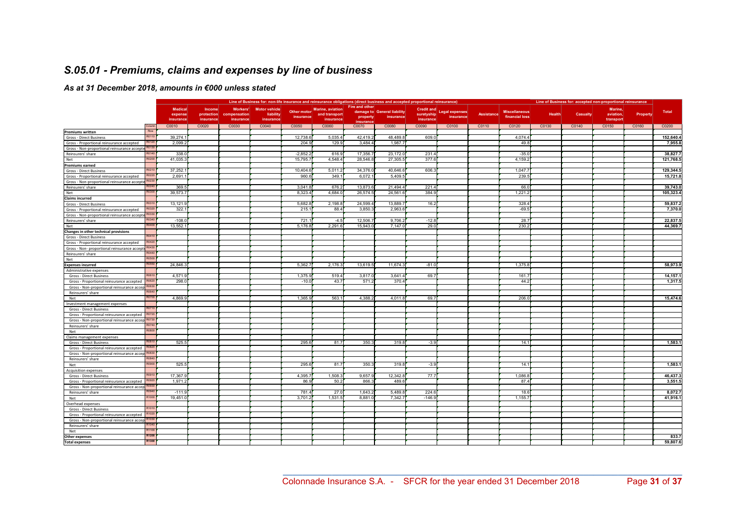## S.05.01 - Premiums, claims and expenses by line of business

#### As at 31 December 2018, amounts in €000 unless stated

|                                                                    |                |            |                 |                      |                          | Line of Business for: non-life insurance and reinsurance obligations (direct business and accepted proportional reinsurance) |                       |                             |            |                           |            | Line of Business for: accepted non-proportional reinsurance |               |          |           |          |           |
|--------------------------------------------------------------------|----------------|------------|-----------------|----------------------|--------------------------|------------------------------------------------------------------------------------------------------------------------------|-----------------------|-----------------------------|------------|---------------------------|------------|-------------------------------------------------------------|---------------|----------|-----------|----------|-----------|
|                                                                    | <b>Medical</b> | Income     | <b>Workers'</b> | <b>Motor vehicle</b> |                          | <b>Marine, aviation</b>                                                                                                      | Fire and other        |                             |            |                           |            |                                                             |               |          | Marine.   |          |           |
|                                                                    | expense        | protection | compensation    | liability            | Other motor<br>insurance | and transport                                                                                                                |                       | damage to General liability | suretyship | Credit and Legal expenses | Assistance | <b>Miscellaneous</b><br>financial loss                      | <b>Health</b> | Casualty | aviation  | Property | Total     |
|                                                                    | insurance      | insurance  | insurance       | insurance            |                          | insurance                                                                                                                    | property<br>insurance | insurance                   | insurance  | insurance                 |            |                                                             |               |          | transport |          |           |
| Column                                                             | C0010          | C0020      | C0030           | C0040                | C0050                    | C0060                                                                                                                        | C0070                 | C0080                       | C0090      | C0100                     | C0110      | C0120                                                       | C0130         | C0140    | C0150     | C0160    | C0200     |
| Roy<br><b>Premiums written</b>                                     |                |            |                 |                      |                          |                                                                                                                              |                       |                             |            |                           |            |                                                             |               |          |           |          |           |
| R0110<br>Gross - Direct Business                                   | 39,274.        |            |                 |                      | 12,738.6                 | 5,035.4                                                                                                                      | 42,419.               | 48,489.                     | 609.       |                           |            | 4,074.4                                                     |               |          |           |          | 152,640.4 |
| R0120<br>Gross - Proportional reinsurance accepted                 | 2,099.2        |            |                 |                      | 204.9                    | 129.9                                                                                                                        | 3,484.4               | 1,987.                      |            |                           |            | 49.8                                                        |               |          |           |          | 7,955.8   |
| Gross - Non-proportional reinsurance accepte R0130                 |                |            |                 |                      |                          |                                                                                                                              |                       |                             |            |                           |            |                                                             |               |          |           |          |           |
| R0140<br>Reinsurers' share                                         | 338.0          |            |                 |                      | $-2,852.2$               | 616.9                                                                                                                        | 17,356.               | 23,172.0                    | 231.       |                           |            | $-35.0$                                                     |               |          |           |          | 38,827.7  |
| R0200<br>Net                                                       | 41,035.        |            |                 |                      | 15,795.7                 | 4,548.4                                                                                                                      | 28,546.               | 27,305.                     | 377.       |                           |            | 4,159.2                                                     |               |          |           |          | 121,768.5 |
| <b>Premiums earned</b>                                             |                |            |                 |                      |                          |                                                                                                                              |                       |                             |            |                           |            |                                                             |               |          |           |          |           |
| R0210<br>Gross - Direct Business                                   | 37,252.        |            |                 |                      | 10,404.6                 | 5,011.2                                                                                                                      | 34,376.               | 40,646.                     | 606.       |                           |            | 1,047.7                                                     |               |          |           |          | 129,344.5 |
| R0220<br>Gross - Proportional reinsurance accepted                 | 2.691.         |            |                 |                      | 960.6                    | 349.                                                                                                                         | 6.072.                | 5.409.5                     |            |                           |            | 239.5                                                       |               |          |           |          | 15.721.8  |
| R0230<br>Gross - Non-proportional reinsurance accepte              |                |            |                 |                      |                          |                                                                                                                              |                       |                             |            |                           |            |                                                             |               |          |           |          |           |
| Reinsurers' share                                                  | 369.5          |            |                 |                      | 3.041.8                  | 676.2                                                                                                                        | 13,873.               | 21.494.4                    | 221.       |                           |            | 66.0                                                        |               |          |           |          | 39,743.0  |
| R0300<br>Net                                                       | 39,573.7       |            |                 |                      | 8,323.4                  | 4,684.0                                                                                                                      | 26,574.5              | 24,561.                     | 384.       |                           |            | 1,221.2                                                     |               |          |           |          | 105,323.4 |
| <b>Claims incurred</b>                                             |                |            |                 |                      |                          |                                                                                                                              |                       |                             |            |                           |            |                                                             |               |          |           |          |           |
| R0310<br>Gross - Direct Business                                   | 13,121.9       |            |                 |                      | 5,682.8                  | 2,198.8                                                                                                                      | 24,599.               | 13,889.                     | 16.2       |                           |            | 328.4                                                       |               |          |           |          | 59,837.2  |
| R0320<br>Gross - Proportional reinsurance accepted                 | 322.           |            |                 |                      | 215.                     | 88.4                                                                                                                         | 3,850.                | 2,963.                      |            |                           |            | $-69.5$                                                     |               |          |           |          | 7,370.0   |
| R0330<br>Gross - Non-proportional reinsurance accepte              |                |            |                 |                      |                          |                                                                                                                              |                       |                             |            |                           |            |                                                             |               |          |           |          |           |
| Reinsurers' share<br>R0340                                         | $-108.0$       |            |                 |                      | 721.7                    | $-4.5$                                                                                                                       | 12,506.               | 9,706.2                     | $-12.8$    |                           |            | 28.7                                                        |               |          |           |          | 22,837.5  |
| R0400<br>Net                                                       | 13,552.        |            |                 |                      | 5.176.8                  | 2.291.6                                                                                                                      | 15.943.               | 7.147.                      | 29(        |                           |            | 230.2                                                       |               |          |           |          | 44.369.7  |
| Changes in other technical provisions<br>R0410                     |                |            |                 |                      |                          |                                                                                                                              |                       |                             |            |                           |            |                                                             |               |          |           |          |           |
| Gross - Direct Business                                            |                |            |                 |                      |                          |                                                                                                                              |                       |                             |            |                           |            |                                                             |               |          |           |          |           |
| R0420<br>Gross - Proportional reinsurance accepted                 |                |            |                 |                      |                          |                                                                                                                              |                       |                             |            |                           |            |                                                             |               |          |           |          |           |
| R0430<br>Gross - Non- proportional reinsurance accepto<br>R0440    |                |            |                 |                      |                          |                                                                                                                              |                       |                             |            |                           |            |                                                             |               |          |           |          |           |
| Reinsurers' share<br><b>R050</b>                                   |                |            |                 |                      |                          |                                                                                                                              |                       |                             |            |                           |            |                                                             |               |          |           |          |           |
| Net<br><b>R0550</b>                                                |                |            |                 |                      |                          |                                                                                                                              |                       |                             |            |                           |            |                                                             |               |          |           |          |           |
| <b>Expenses incurred</b>                                           | 24,846.3       |            |                 |                      | 5,362.7                  | 2,176.3                                                                                                                      | 13,619.               | 11,674.                     | $-81.0$    |                           |            | 1,375.8                                                     |               |          |           |          | 58,973.9  |
| Administrative expenses                                            |                |            |                 |                      |                          |                                                                                                                              |                       |                             |            |                           |            |                                                             |               |          |           |          |           |
| Gross - Direct Business<br>R0620                                   | 4.571.9        |            |                 |                      | 1.375.9                  | 519.4                                                                                                                        | 3.817.                | 3.641.                      | 69.7       |                           |            | 161.7                                                       |               |          |           |          | 14,157.1  |
| Gross - Proportional reinsurance accepted                          | 298.0          |            |                 |                      | $-10.0$                  | 43.7                                                                                                                         | 571.                  | 370.4                       |            |                           |            | 44.2                                                        |               |          |           |          | 1,317.5   |
| Gross - Non-proportional reinsurance accep R0630                   |                |            |                 |                      |                          |                                                                                                                              |                       |                             |            |                           |            |                                                             |               |          |           |          |           |
| Reinsurers' share<br><b>R0700</b>                                  | 4,869.9        |            |                 |                      | 1,365.9                  | 563.1                                                                                                                        | 4,388.                | 4,011.8                     | 69.        |                           |            | 206.0                                                       |               |          |           |          | 15,474.6  |
| Net                                                                |                |            |                 |                      |                          |                                                                                                                              |                       |                             |            |                           |            |                                                             |               |          |           |          |           |
| Investment management expenses<br>R0710<br>Gross - Direct Business |                |            |                 |                      |                          |                                                                                                                              |                       |                             |            |                           |            |                                                             |               |          |           |          |           |
| R0720<br>Gross - Proportional reinsurance accepted                 |                |            |                 |                      |                          |                                                                                                                              |                       |                             |            |                           |            |                                                             |               |          |           |          |           |
| Gross - Non-proportional reinsurance accep R0730                   |                |            |                 |                      |                          |                                                                                                                              |                       |                             |            |                           |            |                                                             |               |          |           |          |           |
| Reinsurers' share<br>R0740                                         |                |            |                 |                      |                          |                                                                                                                              |                       |                             |            |                           |            |                                                             |               |          |           |          |           |
| R0800<br>Net                                                       |                |            |                 |                      |                          |                                                                                                                              |                       |                             |            |                           |            |                                                             |               |          |           |          |           |
| Claims management expenses                                         |                |            |                 |                      |                          |                                                                                                                              |                       |                             |            |                           |            |                                                             |               |          |           |          |           |
| R081<br>Gross - Direct Business                                    | 525.5          |            |                 |                      | 295.6                    | 81.7                                                                                                                         | 350.3                 | 319.8                       | $-3.9$     |                           |            | 14.1                                                        |               |          |           |          | 1,583.1   |
| Gross - Proportional reinsurance accepted                          |                |            |                 |                      |                          |                                                                                                                              |                       |                             |            |                           |            |                                                             |               |          |           |          |           |
| Gross - Non-proportional reinsurance accep R0830                   |                |            |                 |                      |                          |                                                                                                                              |                       |                             |            |                           |            |                                                             |               |          |           |          |           |
| Reinsurers' share                                                  |                |            |                 |                      |                          |                                                                                                                              |                       |                             |            |                           |            |                                                             |               |          |           |          |           |
| R0900<br>Net                                                       | 525.5          |            |                 |                      | 295.6                    | 81.7                                                                                                                         | 350.                  | 319.8                       | $-3.9$     |                           |            | 14.1                                                        |               |          |           |          | 1,583.1   |
| <b>Acquisition expenses</b>                                        |                |            |                 |                      |                          |                                                                                                                              |                       |                             |            |                           |            |                                                             |               |          |           |          |           |
| Gross - Direct Business                                            | 17,367.9       |            |                 |                      | 4.395.7                  | 1,508.3                                                                                                                      | 9,657.                | 12,342.8                    | 77.7       |                           |            | 1,086.8                                                     |               |          |           |          | 46.437.3  |
| Gross - Proportional reinsurance accepted                          | 1.971.2        |            |                 |                      | 86.9                     | 50.2                                                                                                                         | 866.                  | 489.                        |            |                           |            | 87.4                                                        |               |          |           |          | 3.551.5   |
| Gross - Non-proportional reinsurance accep R0930                   |                |            |                 |                      |                          |                                                                                                                              |                       |                             |            |                           |            |                                                             |               |          |           |          |           |
| Reinsurers' share                                                  | $-111.9$       |            |                 |                      | 781.4                    | 27.0                                                                                                                         | 1,643.                | 5,489.8                     | 224.       |                           |            | 18.6                                                        |               |          |           |          | 8,072.7   |
| R1000<br>Net                                                       | 19,451.0       |            |                 |                      | 3,701.2                  | 1,531.5                                                                                                                      | 8,881.                | 7,342.7                     | $-146.5$   |                           |            | 1,155.7                                                     |               |          |           |          | 41,916.1  |
| Overhead expenses                                                  |                |            |                 |                      |                          |                                                                                                                              |                       |                             |            |                           |            |                                                             |               |          |           |          |           |
| R1010<br>Gross - Direct Business                                   |                |            |                 |                      |                          |                                                                                                                              |                       |                             |            |                           |            |                                                             |               |          |           |          |           |
| Gross - Proportional reinsurance accepted                          |                |            |                 |                      |                          |                                                                                                                              |                       |                             |            |                           |            |                                                             |               |          |           |          |           |
| Gross - Non-proportional reinsurance accep R1030                   |                |            |                 |                      |                          |                                                                                                                              |                       |                             |            |                           |            |                                                             |               |          |           |          |           |
| R1040<br>Reinsurers' share                                         |                |            |                 |                      |                          |                                                                                                                              |                       |                             |            |                           |            |                                                             |               |          |           |          |           |
| R1100<br>Net                                                       |                |            |                 |                      |                          |                                                                                                                              |                       |                             |            |                           |            |                                                             |               |          |           |          |           |
| R1200<br>Other expenses                                            |                |            |                 |                      |                          |                                                                                                                              |                       |                             |            |                           |            |                                                             |               |          |           |          | 833.7     |
| R1300<br><b>Total expenses</b>                                     |                |            |                 |                      |                          |                                                                                                                              |                       |                             |            |                           |            |                                                             |               |          |           |          | 59,807.6  |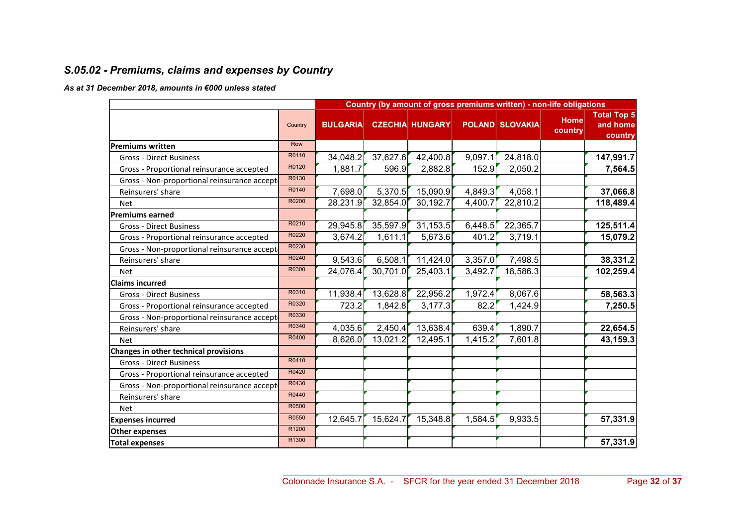## S.05.02 - Premiums, claims and expenses by Country

#### As at 31 December 2018, amounts in €000 unless stated

|                                             |         |                 | Country (by amount of gross premiums written) - non-life obligations |                        |         |                        |                 |                                           |
|---------------------------------------------|---------|-----------------|----------------------------------------------------------------------|------------------------|---------|------------------------|-----------------|-------------------------------------------|
|                                             | Country | <b>BULGARIA</b> |                                                                      | <b>CZECHIA HUNGARY</b> |         | <b>POLAND SLOVAKIA</b> | Home<br>country | <b>Total Top 5</b><br>and home<br>country |
| <b>Premiums written</b>                     | Row     |                 |                                                                      |                        |         |                        |                 |                                           |
| <b>Gross - Direct Business</b>              | R0110   | 34,048.2        | 37,627.6                                                             | 42,400.8               | 9,097.1 | 24,818.0               |                 | 147,991.7                                 |
| Gross - Proportional reinsurance accepted   | R0120   | 1,881.7         | 596.9                                                                | 2,882.8                | 152.9   | 2,050.2                |                 | 7,564.5                                   |
| Gross - Non-proportional reinsurance accept | R0130   |                 |                                                                      |                        |         |                        |                 |                                           |
| Reinsurers' share                           | R0140   | 7,698.0         | 5,370.5                                                              | 15,090.9               | 4,849.3 | 4,058.1                |                 | 37,066.8                                  |
| <b>Net</b>                                  | R0200   | 28,231.9        | 32,854.0                                                             | 30,192.7               | 4,400.7 | 22,810.2               |                 | 118,489.4                                 |
| <b>Premiums earned</b>                      |         |                 |                                                                      |                        |         |                        |                 |                                           |
| <b>Gross - Direct Business</b>              | R0210   | 29,945.8        | 35,597.9                                                             | 31,153.5               | 6,448.5 | 22,365.7               |                 | 125,511.4                                 |
| Gross - Proportional reinsurance accepted   | R0220   | 3,674.2         | 1,611.1                                                              | 5,673.6                | 401.2   | 3,719.1                |                 | 15,079.2                                  |
| Gross - Non-proportional reinsurance accept | R0230   |                 |                                                                      |                        |         |                        |                 |                                           |
| Reinsurers' share                           | R0240   | 9,543.6         | 6,508.1                                                              | 11,424.0               | 3,357.0 | 7,498.5                |                 | 38,331.2                                  |
| <b>Net</b>                                  | R0300   | 24,076.4        | 30,701.0                                                             | 25,403.1               | 3,492.7 | 18,586.3               |                 | 102,259.4                                 |
| <b>Claims incurred</b>                      |         |                 |                                                                      |                        |         |                        |                 |                                           |
| <b>Gross - Direct Business</b>              | R0310   | 11,938.4        | 13,628.8                                                             | 22,956.2               | 1,972.4 | 8,067.6                |                 | 58,563.3                                  |
| Gross - Proportional reinsurance accepted   | R0320   | 723.2           | 1,842.8                                                              | 3,177.3                | 82.2    | 1,424.9                |                 | 7,250.5                                   |
| Gross - Non-proportional reinsurance accept | R0330   |                 |                                                                      |                        |         |                        |                 |                                           |
| Reinsurers' share                           | R0340   | 4,035.6         | 2,450.4                                                              | 13,638.4               | 639.4   | 1,890.7                |                 | 22,654.5                                  |
| Net                                         | R0400   | 8,626.0         | 13,021.2                                                             | 12,495.1               | 1,415.2 | 7,601.8                |                 | 43,159.3                                  |
| Changes in other technical provisions       |         |                 |                                                                      |                        |         |                        |                 |                                           |
| <b>Gross - Direct Business</b>              | R0410   |                 |                                                                      |                        |         |                        |                 |                                           |
| Gross - Proportional reinsurance accepted   | R0420   |                 |                                                                      |                        |         |                        |                 |                                           |
| Gross - Non-proportional reinsurance accept | R0430   |                 |                                                                      |                        |         |                        |                 |                                           |
| Reinsurers' share                           | R0440   |                 |                                                                      |                        |         |                        |                 |                                           |
| <b>Net</b>                                  | R0500   |                 |                                                                      |                        |         |                        |                 |                                           |
| <b>Expenses incurred</b>                    | R0550   | 12,645.7        | 15,624.7                                                             | 15,348.8               | 1,584.5 | 9,933.5                |                 | 57,331.9                                  |
| <b>Other expenses</b>                       | R1200   |                 |                                                                      |                        |         |                        |                 |                                           |
| <b>Total expenses</b>                       | R1300   |                 |                                                                      |                        |         |                        |                 | 57,331.9                                  |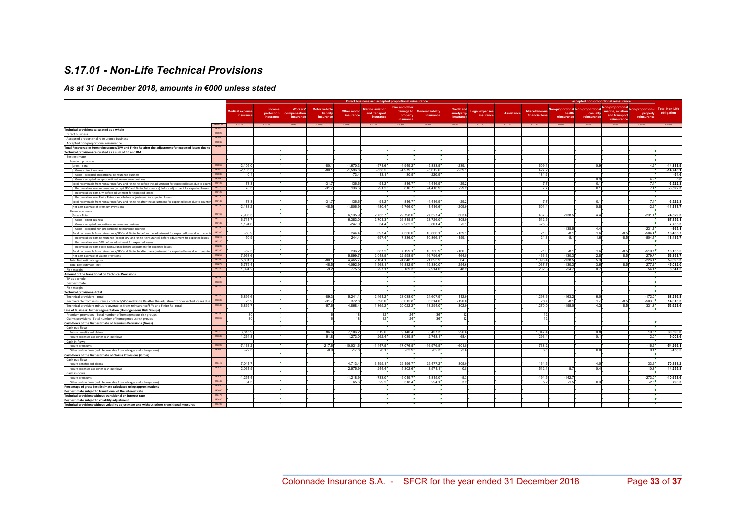## S.17.01 - Non-Life Technical Provisions

#### As at 31 December 2018, amounts in €000 unless stated

|                                                                                                              |              |                        |                      |                               |                                   |             |                                   | Direct business and accepted proportional reinsurance |                          |                                 |                  |                   |                      |                                                    | accepted non-proportional reinsurance |                        |                         |                       |
|--------------------------------------------------------------------------------------------------------------|--------------|------------------------|----------------------|-------------------------------|-----------------------------------|-------------|-----------------------------------|-------------------------------------------------------|--------------------------|---------------------------------|------------------|-------------------|----------------------|----------------------------------------------------|---------------------------------------|------------------------|-------------------------|-----------------------|
|                                                                                                              |              |                        |                      |                               |                                   |             |                                   | Fire and other                                        |                          |                                 |                  |                   |                      |                                                    |                                       | <b>Non-proportiona</b> |                         |                       |
|                                                                                                              |              | <b>Medical expense</b> | Income<br>protection | Workers'<br>npensation<br>COL | <b>Motor vehicle</b><br>liability | Other motor | Marine, aviation<br>and transport | damage to                                             | <b>General liability</b> | <b>Credit and</b><br>suretyship | Legal expenses   | <b>Assistance</b> | <b>Miscellaneous</b> | <b>Non-proportional Non-proportional</b><br>health |                                       | marine, aviation       | lon-proportional        | <b>Total Non-Life</b> |
|                                                                                                              |              | insurance              | insurance            | insurance                     | insurance                         | insurance   | insurance                         | property                                              | insuranc                 | insurance                       | <b>insurance</b> |                   | financial loss       | reinsurance                                        | casualty<br>reinsurance               | and transport          | property<br>reinsurance | obligation            |
|                                                                                                              |              |                        |                      |                               |                                   |             |                                   | insurance                                             |                          |                                 |                  |                   |                      |                                                    |                                       | reinsurance            |                         |                       |
|                                                                                                              | Row/Col      | C0020                  | C0030                | C0040                         | C0050                             | C0060       | C0070                             | C0080                                                 | 00090                    | C0100                           | C0110            | CO120             | CO130                | C0140                                              | C0150                                 | C0160                  | C0170                   | C0180                 |
| Technical provisions calculated as a whole                                                                   | <b>ROO10</b> |                        |                      |                               |                                   |             |                                   |                                                       |                          |                                 |                  |                   |                      |                                                    |                                       |                        |                         |                       |
| Direct business                                                                                              |              |                        |                      |                               |                                   |             |                                   |                                                       |                          |                                 |                  |                   |                      |                                                    |                                       |                        |                         |                       |
| Accepted proportional reinsurance business                                                                   | <b>ROOM</b>  |                        |                      |                               |                                   |             |                                   |                                                       |                          |                                 |                  |                   |                      |                                                    |                                       |                        |                         |                       |
| Accepted non-proportional reinsurance                                                                        |              |                        |                      |                               |                                   |             |                                   |                                                       |                          |                                 |                  |                   |                      |                                                    |                                       |                        |                         |                       |
| Total Recoverables from reinsurance/SPV and Finite Re after the adjustment for expected losses due to        | R0050        |                        |                      |                               |                                   |             |                                   |                                                       |                          |                                 |                  |                   |                      |                                                    |                                       |                        |                         |                       |
| Technical provisions calculated as a sum of BE and RM                                                        |              |                        |                      |                               |                                   |             |                                   |                                                       |                          |                                 |                  |                   |                      |                                                    |                                       |                        |                         |                       |
| Best estimate                                                                                                |              |                        |                      |                               |                                   |             |                                   |                                                       |                          |                                 |                  |                   |                      |                                                    |                                       |                        |                         |                       |
| Premium provisions                                                                                           |              |                        |                      |                               |                                   |             |                                   |                                                       |                          |                                 |                  |                   |                      |                                                    |                                       |                        |                         |                       |
| Gross - Total                                                                                                |              | $-2.105.$              |                      |                               | $-80.$                            | $-1.670.3$  | $-571.6$                          | $-4.949.$                                             | $-5.833.5$               | $-239.$                         |                  |                   | 609.                 |                                                    | $\Omega$                              |                        | 4.9                     | $-14.833.9$           |
| Gross - direct business                                                                                      | R0070        | $-2.105.3$             |                      |                               | $-80.1$                           | $-1.596.8$  | $-558.5$                          | $-4.979.$                                             | $-5.612.6$               | $-239.1$                        |                  |                   | 427.2                |                                                    |                                       |                        |                         | $-14,745.1$           |
| Gross - accepted proportional reinsurance business                                                           | R0080        | 0.4                    |                      |                               |                                   | $-73.4$     | $-13.1$                           | 30.5                                                  | $-220.9$                 |                                 |                  |                   | 181.9                |                                                    |                                       |                        |                         | $-94.6$               |
| Gross - accepted non-proportional reinsurance business                                                       | Ronan        |                        |                      |                               |                                   |             |                                   |                                                       |                          |                                 |                  |                   |                      |                                                    | $\bigcap$                             |                        | 4.9                     | 5.8                   |
| Total recoverable from reinsurance/SPV and Finite Re before the adjustment for expected losses due to coun   |              | 78.3                   |                      |                               | $-31.7$                           | 136.6       | $-91.2$                           | 816.                                                  | $-4.416.9$               | $-29.2$                         |                  |                   | 7.7                  |                                                    | $\circ$                               |                        | 7.4                     | $-3,522.3$            |
| Recoverables from reinsurance (except SPV and Finite Reinsurance) before adjustment for expected losses      | R0110        | 78.3                   |                      |                               | $-31.7$                           | 136.6       | $-91.2$                           | 816.7                                                 | $-4,416.9$               | $-29.2$                         |                  |                   | 7.7                  |                                                    | 0.1                                   |                        | 7.4                     | $-3,522.3$            |
| Recoverables from SPV before adjustment for expected losses                                                  | R0120        |                        |                      |                               |                                   |             |                                   |                                                       |                          |                                 |                  |                   |                      |                                                    |                                       |                        |                         |                       |
| Recoverables from Finite Reinsurance before adjustment for expected losses                                   | R0130        |                        |                      |                               |                                   |             |                                   |                                                       |                          |                                 |                  |                   |                      |                                                    |                                       |                        |                         |                       |
| Total recoverable from reinsurance/SPV and Finite Re after the adjustment for expected losses due to counter | R0140        | 78.3                   |                      |                               | $-31.7$                           | 136.6       | $-91.2$                           | 816.                                                  | $-4.416.9$               | $-29.2$                         |                  |                   | 77                   |                                                    | $\Omega$                              |                        | 74                      | $-3,522.3$            |
| Net Best Estimate of Premium Provisions                                                                      | R0150        | $-2,183.2$             |                      |                               | $-48.5$                           | $-1,806.9$  | $-480.4$                          | $-5,766.$                                             | $-1,416.6$               | $-209.9$                        |                  |                   | 601.4                |                                                    | 0.8                                   |                        | $-2.5$                  | $-11,311.7$           |
| Claims provision:                                                                                            |              |                        |                      |                               |                                   |             |                                   |                                                       |                          |                                 |                  |                   |                      |                                                    |                                       |                        |                         |                       |
| Gross - Total                                                                                                | R0160        | 7,906.3                |                      |                               |                                   | 6.135.9     | 2.735.7                           | 29.798.                                               | 27,527.4                 | 303.8                           |                  |                   | 487.3                | $-138.5$                                           | 4.4                                   |                        | $-231.1$                | 74,529.3              |
| Gross - direct business                                                                                      | R0170        | 6.711.7                |                      |                               |                                   | 6.383.0     | 2,701.3                           | 26,815.                                               | 23,726.0                 | 308.9                           |                  |                   | 512.5                |                                                    |                                       |                        |                         | 67,159.1              |
| Gross - accepted proportional reinsurance business                                                           | R0180        | 1.194.6                |                      |                               |                                   | $-247.0$    | 34.4                              | 2,982.                                                | 3,801.4                  | $-5.1$                          |                  |                   | $-25.3$              |                                                    |                                       |                        |                         | 7,735.3               |
| Gross - accepted non-proportional reinsurance business                                                       | R0190        |                        |                      |                               |                                   |             |                                   |                                                       |                          |                                 |                  |                   |                      | $-138.5$                                           | 4.4                                   |                        | $-231.1$                | $-365.1$              |
| Total recoverable from reinsurance/SPV and Finite Re before the adjustment for expected losses due to coun   | R0200        | $-50.9$                |                      |                               |                                   | 244.4       | 697.4                             | 7.336.                                                | 10,866.1                 | $-159.1$                        |                  |                   | 21.3                 | $-8.1$                                             | 11                                    | $-8.5$                 | $-504.4$                | 18,435.7              |
| Recoverables from reinsurance (except SPV and Finite Reinsurance) before adjustment for expected losses      | R0210        | $-50.9$                |                      |                               |                                   | 244.4       | 697.4                             | 7,336.0                                               | 10,866.1                 | $-159.1$                        |                  |                   | 21.3                 | $-8.1$                                             | 1.6                                   | $-8.5$                 | $-504.4$                | 18,435.7              |
| Recoverables from SPV before adjustment for expected losses                                                  | R0220        |                        |                      |                               |                                   |             |                                   |                                                       |                          |                                 |                  |                   |                      |                                                    |                                       |                        |                         |                       |
| Recoverables from Finite Reinsurance before adjustment for expected losses                                   | R0230        |                        |                      |                               |                                   |             |                                   |                                                       |                          |                                 |                  |                   |                      |                                                    |                                       |                        |                         |                       |
| Total recoverable from reinsurance/SPV and Finite Re after the adjustment for expected losses due to counter |              | $-52.3$                |                      |                               |                                   | 236.2       | 687.2                             | 7.199.                                                | 10,730.9                 | $-160.7$                        |                  |                   | 21.0                 | $-8.1$                                             | 11                                    | $-8.5$                 | $-510.7$                | 18,135.5              |
| Net Best Estimate of Claims Provisions                                                                       |              | 7.958.6                |                      |                               |                                   | 5.899.7     | 2.048.5                           | 22.598.                                               | 16,796.6                 | 464.5                           |                  |                   | 466.3                | $-130.3$                                           | 2.8                                   | 8.5                    | 279.7                   | 56,393.7              |
| Total Best estimate - gross                                                                                  | R0260        | 5.801.3                |                      |                               | $-80.$                            | 4.465.7     | 2.164.7                           | 24.848.                                               | 21.693.9                 | 64.7                            |                  |                   | 1.096.4              | $-138.5$                                           | 5.3                                   |                        | $-226.1$                | 59,695.3              |
| Total Best estimate - net                                                                                    | R0270        | 5.775.4                |                      |                               | $-48.5$                           | 4.092.9     | 1.568.1                           | 16.832.                                               | 15,380.0                 | 254.6                           |                  |                   | 1.067.7              | $-130.3$                                           | 3.6                                   | 85                     | 277.2                   | 45.082.0              |
| Risk margin                                                                                                  | R0280        | 1.094.2                |                      |                               | $-9.2$                            | 775.5       | 297.                              | 3.189.                                                | 2,914.0                  | 48.2                            |                  |                   | 202.3                | $-24.7$                                            | 0.7                                   |                        | 54.1                    | 8,541.5               |
| Amount of the transitional on Technical Provisions                                                           |              |                        |                      |                               |                                   |             |                                   |                                                       |                          |                                 |                  |                   |                      |                                                    |                                       |                        |                         |                       |
| TP as a whole                                                                                                | R0290        |                        |                      |                               |                                   |             |                                   |                                                       |                          |                                 |                  |                   |                      |                                                    |                                       |                        |                         |                       |
| Best estimate                                                                                                |              |                        |                      |                               |                                   |             |                                   |                                                       |                          |                                 |                  |                   |                      |                                                    |                                       |                        |                         |                       |
| Risk margin                                                                                                  |              |                        |                      |                               |                                   |             |                                   |                                                       |                          |                                 |                  |                   |                      |                                                    |                                       |                        |                         |                       |
| <b>Technical provisions - total</b>                                                                          |              |                        |                      |                               |                                   |             |                                   |                                                       |                          |                                 |                  |                   |                      |                                                    |                                       |                        |                         |                       |
| Technical provisions - total                                                                                 |              | 6,895.6                |                      |                               | $-89.3$                           | 5.241.      | 2.461.                            | 28.038.                                               | 24,607                   | 112.9                           |                  |                   | 1.298.6              | $-163.2$                                           | 6 <sub>1</sub>                        |                        | $-172.0$                | 68.236.8              |
| Recoverable from reinsurance contract/SPV and Finite Re after the adjustment for expected losses due         | R0330        | 25.9                   |                      |                               | $-31.7$                           | 372.8       | 596.                              | 8,015.                                                | 6,314.0                  | $-190.0$                        |                  |                   | 28.7                 | $-8.1$                                             | 17                                    | $-8.5$                 | $-503.3$                | 14,613.3              |
| Technical provisions minus recoverables from reinsurance/SPV and Finite Re-total                             |              | 6,869.7                |                      |                               | $-57.6$                           | 4.868.4     | 1,865.2                           | 20,022.2                                              | 18,294.0                 | 302.9                           |                  |                   | 1,270.0              | $-155.0$                                           | 4.3                                   |                        | 331.3                   | 53,623.6              |
| Line of Business: further segmentation (Homogeneous Risk Groups)                                             |              |                        |                      |                               |                                   |             |                                   |                                                       |                          |                                 |                  |                   |                      |                                                    |                                       |                        |                         |                       |
| Premium provisions - Total number of homogeneous risk groups                                                 |              | 30                     |                      |                               |                                   | 18          |                                   | 24                                                    | 36                       | 12                              |                  |                   | 12                   |                                                    |                                       |                        |                         |                       |
| Claims provisions - Total number of homogeneous risk groups                                                  |              | 30                     |                      |                               |                                   |             | 12                                | 24                                                    | 36                       | 12                              |                  |                   | 12                   |                                                    |                                       |                        |                         |                       |
| Cash-flows of the Best estimate of Premium Provisions (Gross)                                                |              |                        |                      |                               |                                   |             |                                   |                                                       |                          |                                 |                  |                   |                      |                                                    |                                       |                        |                         |                       |
| Cash out-flows                                                                                               | R0370        |                        |                      |                               |                                   |             |                                   |                                                       |                          |                                 |                  |                   |                      |                                                    |                                       |                        |                         |                       |
| Future benefits and claims                                                                                   |              | 3.815.9                |                      |                               | 86.                               | 7.106.2     | 619.6                             | 9.140.4                                               | 8,457.3                  | 296.6                           |                  |                   | 1.047.4              |                                                    | $\Omega$                              |                        | 19.3                    | 30,590.0              |
| Future expenses and other cash-out flows                                                                     |              | 1,264.8                |                      |                               | 51.8                              | 1,273.0     | 262.4                             | 3,039.                                                | 2,748.1                  | 68.4                            |                  |                   | 293.4                |                                                    | 0.1                                   |                        | 2.0                     | 9,003.6               |
| Cash in-flows                                                                                                |              |                        |                      |                               |                                   |             |                                   |                                                       |                          |                                 |                  |                   |                      |                                                    |                                       |                        |                         |                       |
| Future premium                                                                                               | R0400        | $-7,163.2$             |                      |                               | $-217.0$                          | $-10,031.6$ | $-1,447.$                         | $-17,076.$                                            | $-16,976.5$              | $-601.5$                        |                  |                   | $-738.2$             |                                                    |                                       |                        | $-16.5$                 | $-54,269.1$           |
| Other cash-in flows (incl. Recoverable from salvages and subrogations)                                       |              | $-22.5$                |                      |                               | $-0.9$                            | $-17.8$     | $-6.7$                            | $-52.$                                                | $-62.3$                  | $-2.6$                          |                  |                   | 6.5                  |                                                    | 0.0                                   |                        | 0.1                     | $-158.5$              |
| Cash-flows of the Best estimate of Claims Provisions (Gross)                                                 |              |                        |                      |                               |                                   |             |                                   |                                                       |                          |                                 |                  |                   |                      |                                                    |                                       |                        |                         |                       |
| Cash out-flows                                                                                               |              |                        |                      |                               |                                   |             |                                   |                                                       |                          |                                 |                  |                   |                      |                                                    |                                       |                        |                         |                       |
| Future benefits and claims                                                                                   | <b>R0420</b> | 7.041.                 |                      |                               |                                   | 4.713.4     | 3.195.                            | 29,196.                                               | 25,477.2                 | 305.0                           |                  |                   | 164.5                |                                                    | 4.0                                   |                        | 33.6                    | 70,131.2              |
| Future expenses and other cash-out flows                                                                     |              | 2,031.                 |                      |                               |                                   | 2,575.      | 244.4                             | 5,302.                                                | 3,571.                   | 0.8                             |                  |                   | 512.1                | 57                                                 | $\Omega$                              |                        | 10.8                    | 14,255.3              |
| Cash in-flows                                                                                                | R0430        |                        |                      |                               |                                   |             |                                   |                                                       |                          |                                 |                  |                   |                      |                                                    |                                       |                        |                         |                       |
| Future premiums                                                                                              | R0440        | $-1,251.4$             |                      |                               |                                   | $-1,218.9$  | $-733.0$                          | $-5.019.7$                                            | $-1.815.0$               | $-5.3$                          |                  |                   | $-194.5$             | $-142.7$                                           | $\Omega$                              |                        | $-273.0$                | $-10,653.6$           |
| Other cash-in flows (incl. Recoverable from salvages and subrogations)                                       | R0450        | 84.5                   |                      |                               |                                   | 65.6        | 29.2                              | 318.4                                                 | 294.1                    | 3.2                             |                  |                   | 5.2                  | $-1.5$                                             |                                       |                        | $-2.5$                  | 796.3                 |
| Percentage of gross Best Estimate calculated using approximations                                            | R0460        |                        |                      |                               |                                   |             |                                   |                                                       |                          |                                 |                  |                   |                      |                                                    |                                       |                        |                         |                       |
| Best estimate subject to transitional of the interest rate                                                   | R0470        |                        |                      |                               |                                   |             |                                   |                                                       |                          |                                 |                  |                   |                      |                                                    |                                       |                        |                         |                       |
| Technical provisions without transitional on interest rate                                                   | R0480        |                        |                      |                               |                                   |             |                                   |                                                       |                          |                                 |                  |                   |                      |                                                    |                                       |                        |                         |                       |
| Best estimate subject to volatility adjustment                                                               | R0490        |                        |                      |                               |                                   |             |                                   |                                                       |                          |                                 |                  |                   |                      |                                                    |                                       |                        |                         |                       |
| Technical provisions without volatility adjustment and without others transitional measures                  |              |                        |                      |                               |                                   |             |                                   |                                                       |                          |                                 |                  |                   |                      |                                                    |                                       |                        |                         |                       |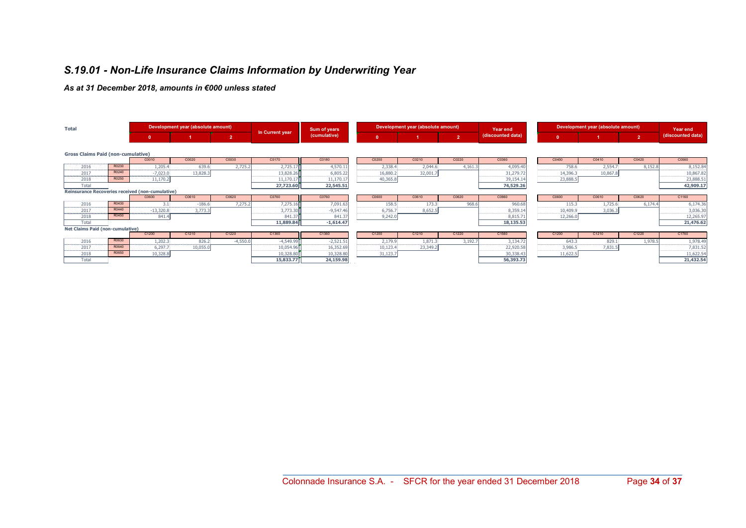## S.19.01 - Non-Life Insurance Claims Information by Underwriting Year

#### As at 31 December 2018, amounts in €000 unless stated

| <b>Total</b>                              |       |                                                  | Development year (absolute amount) |            |                 | Sum of years |          | Development year (absolute amount) |                | Year end          |              | Development year (absolute amount) |                | Year end          |
|-------------------------------------------|-------|--------------------------------------------------|------------------------------------|------------|-----------------|--------------|----------|------------------------------------|----------------|-------------------|--------------|------------------------------------|----------------|-------------------|
|                                           |       |                                                  |                                    | 12         | In Current year | (cumulative) |          |                                    | $\overline{2}$ | (discounted data) | $\mathbf{0}$ |                                    | 2 <sup>7</sup> | (discounted data) |
| <b>Gross Claims Paid (non-cumulative)</b> |       |                                                  |                                    |            |                 |              |          |                                    |                |                   |              |                                    |                |                   |
|                                           |       | C0010                                            | C0020                              | C0030      | C0170           | C0180        | C0200    | C0210                              | C0220          | C0360             | C0400        | C0410                              | C0420          | C0560             |
| 2016                                      | R0230 | 1,205.4                                          | 639.6                              | 2,725.2    | 2,725.17        | 4,570.11     | 2,338.4  | 2,044.6                            | 4,161.3        | 4,095.40          | 758.6        | 2,554.7                            | 8,152.8        | 8,152.84          |
| 2017                                      | R0240 | $-7,023.0$                                       | 13,828.3                           |            | 13,828.26       | 6,805.22     | 16,880.2 | 32,001.7                           |                | 31,279.72         | 14,396.3     | 10,867.8                           |                | 10,867.82         |
| 2018                                      | R0250 | 11,170.2                                         |                                    |            | 11,170.17       | 11,170.17    | 40,365.8 |                                    |                | 39,154.14         | 23,888.5     |                                    |                | 23,888.51         |
| Total                                     |       |                                                  |                                    |            | 27,723.60       | 22,545.51    |          |                                    |                | 74,529.26         |              |                                    |                | 42,909.17         |
|                                           |       | Reinsurance Recoveries received (non-cumulative) |                                    |            |                 |              |          |                                    |                |                   |              |                                    |                |                   |
|                                           |       | C0600                                            | C0610                              | C0620      | C0760           | C0760        | C0600    | C0610                              | C0620          | C0960             | C0600        | C0610                              | C0620          | C1160             |
| 2016                                      | R0430 |                                                  | $-186.6$                           | 7,275.2    | 7,275.16        | 7,091.63     | 158.5    | 173.3                              | 968.6          | 960.68            | 115.3        | 1,725.6                            | 6,174.4        | 6,174.36          |
| 2017                                      | R0440 | $-13,320.8$                                      | 3,773.3                            |            | 3,773.30        | $-9,547.46$  | 6,756.7  | 8,652.5                            |                | 8,359.1           | 10,409.9     | 3,036.3                            |                | 3,036.30          |
| 2018                                      | R0450 | 841.4                                            |                                    |            | 841.37          | 841.37       | 9,242.0  |                                    |                | 8,815.71          | 12,266.0     |                                    |                | 12,265.97         |
| Total                                     |       |                                                  |                                    |            | 11,889.84       | $-1,614.47$  |          |                                    |                | 18,135.53         |              |                                    |                | 21,476.62         |
| Net Claims Paid (non-cumulative)          |       |                                                  |                                    |            |                 |              |          |                                    |                |                   |              |                                    |                |                   |
|                                           |       | C1200                                            | C1210                              | C1220      | C1360           | C1360        | C1200    | C1210                              | C1220          | C1560             | C1200        | C1210                              | C1220          | C1760             |
| 2016                                      | R0630 | 1,202.3                                          | 826.2                              | $-4,550.0$ | $-4,549.99$     | $-2,521.51$  | 2,179.9  | 1,871.3                            | 3,192.7        | 3,134.72          | 643.3        | 829.1                              | 1,978.         | 1,978.49          |
| 2017                                      | R0640 | 6,297.7                                          | 10,055.0                           |            | 10,054.96       | 16,352.69    | 10,123.4 | 23,349.2                           |                | 22,920.58         | 3,986.5      | 7,831.5                            |                | 7,831.52          |
| 2018                                      | R0650 | 10,328.8                                         |                                    |            | 10,328.80       | 10,328.80    | 31,123.7 |                                    |                | 30,338.43         | 11,622.5     |                                    |                | 11,622.54         |
| Total                                     |       |                                                  |                                    |            | 15,833.77       | 24,159.98    |          |                                    |                | 56,393.73         |              |                                    |                | 21,432.54         |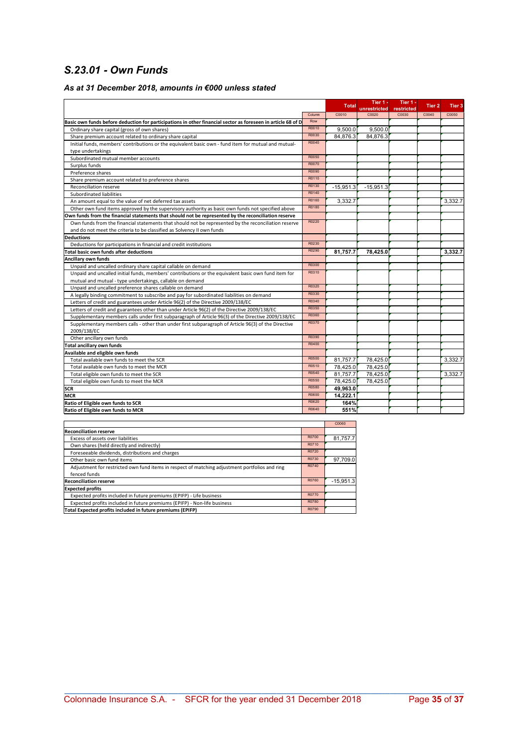## S.23.01 - Own Funds

#### As at 31 December 2018, amounts in €000 unless stated

|                                                                                                              |        | <b>Total</b> | Tier 1 -              | Tier 1 -            | Tier 2 | Tier 3  |
|--------------------------------------------------------------------------------------------------------------|--------|--------------|-----------------------|---------------------|--------|---------|
|                                                                                                              | Column | C0010        | unrestricted<br>C0020 | restricted<br>C0030 | C0040  | C0050   |
| Basic own funds before deduction for participations in other financial sector as foreseen in article 68 of D | Row    |              |                       |                     |        |         |
| Ordinary share capital (gross of own shares)                                                                 | R0010  | 9,500.0      | 9,500.0               |                     |        |         |
| Share premium account related to ordinary share capital                                                      | R0030  | 84,876.3     | 84,876.3              |                     |        |         |
| Initial funds, members' contributions or the equivalent basic own - fund item for mutual and mutual-         | R0040  |              |                       |                     |        |         |
| type undertakings                                                                                            |        |              |                       |                     |        |         |
| Subordinated mutual member accounts                                                                          | R0050  |              |                       |                     |        |         |
| Surplus funds                                                                                                | R0070  |              |                       |                     |        |         |
| Preference shares                                                                                            | R0090  |              |                       |                     |        |         |
| Share premium account related to preference shares                                                           | R0110  |              |                       |                     |        |         |
| Reconciliation reserve                                                                                       | R0130  | $-15,951.3$  | $-15.951.3$           |                     |        |         |
| Subordinated liabilities                                                                                     | R0140  |              |                       |                     |        |         |
| An amount equal to the value of net deferred tax assets                                                      | R0160  | 3,332.7      |                       |                     |        | 3,332.7 |
| Other own fund items approved by the supervisory authority as basic own funds not specified above            | R0180  |              |                       |                     |        |         |
| Own funds from the financial statements that should not be represented by the reconciliation reserve         |        |              |                       |                     |        |         |
| Own funds from the financial statements that should not be represented by the reconciliation reserve         | R0220  |              |                       |                     |        |         |
| and do not meet the criteria to be classified as Solvency II own funds                                       |        |              |                       |                     |        |         |
| <b>Deductions</b>                                                                                            |        |              |                       |                     |        |         |
| Deductions for participations in financial and credit institutions                                           | R0230  |              |                       |                     |        |         |
| Total basic own funds after deductions                                                                       | R0290  | 81,757.7     | 78,425.0              |                     |        | 3,332.7 |
| Ancillary own funds                                                                                          |        |              |                       |                     |        |         |
| Unpaid and uncalled ordinary share capital callable on demand                                                | R0300  |              |                       |                     |        |         |
| Unpaid and uncalled initial funds, members' contributions or the equivalent basic own fund item for          | R0310  |              |                       |                     |        |         |
| mutual and mutual - type undertakings, callable on demand                                                    |        |              |                       |                     |        |         |
| Unpaid and uncalled preference shares callable on demand                                                     | R0320  |              |                       |                     |        |         |
| A legally binding commitment to subscribe and pay for subordinated liabilities on demand                     | R0330  |              |                       |                     |        |         |
| Letters of credit and guarantees under Article 96(2) of the Directive 2009/138/EC                            | R0340  |              |                       |                     |        |         |
| Letters of credit and guarantees other than under Article 96(2) of the Directive 2009/138/EC                 | R0350  |              |                       |                     |        |         |
| Supplementary members calls under first subparagraph of Article 96(3) of the Directive 2009/138/EC           | R0360  |              |                       |                     |        |         |
| Supplementary members calls - other than under first subparagraph of Article 96(3) of the Directive          | R0370  |              |                       |                     |        |         |
| 2009/138/EC                                                                                                  |        |              |                       |                     |        |         |
| Other ancillary own funds                                                                                    | R0390  |              |                       |                     |        |         |
| Total ancillary own funds                                                                                    | R0400  |              |                       |                     |        |         |
| Available and eligible own funds                                                                             |        |              |                       |                     |        |         |
| Total available own funds to meet the SCR                                                                    | R0500  | 81,757.7     | 78.425.0              |                     |        | 3,332.7 |
| Total available own funds to meet the MCR                                                                    | R0510  | 78,425.0     | 78,425.0              |                     |        |         |
| Total eligible own funds to meet the SCR                                                                     | R0540  | 81,757.7     | 78,425.0              |                     |        | 3,332.7 |
| Total eligible own funds to meet the MCR                                                                     | R0550  | 78.425.0     | 78.425.0              |                     |        |         |
| <b>SCR</b>                                                                                                   | R0580  | 49,963.0     |                       |                     |        |         |
| MCR                                                                                                          | R0600  | 14.222.1     |                       |                     |        |         |
| Ratio of Eligible own funds to SCR                                                                           | R0620  | 164%         |                       |                     |        |         |
| Ratio of Eligible own funds to MCR                                                                           | R0640  | 551%         |                       |                     |        |         |

| <b>Reconciliation reserve</b>                                                                  |       |             |  |  |  |  |  |
|------------------------------------------------------------------------------------------------|-------|-------------|--|--|--|--|--|
| Excess of assets over liabilities                                                              | R0700 | 81.757.7    |  |  |  |  |  |
| Own shares (held directly and indirectly)                                                      | R0710 |             |  |  |  |  |  |
| Foreseeable dividends, distributions and charges                                               | R0720 |             |  |  |  |  |  |
| Other basic own fund items                                                                     | R0730 | 97.709.0    |  |  |  |  |  |
| Adjustment for restricted own fund items in respect of matching adjustment portfolios and ring | R0740 |             |  |  |  |  |  |
| fenced funds                                                                                   |       |             |  |  |  |  |  |
| <b>Reconciliation reserve</b>                                                                  | R0760 | $-15.951.3$ |  |  |  |  |  |
| <b>Expected profits</b>                                                                        |       |             |  |  |  |  |  |
| Expected profits included in future premiums (EPIFP) - Life business                           | R0770 |             |  |  |  |  |  |
| Expected profits included in future premiums (EPIFP) - Non-life business                       | R0780 |             |  |  |  |  |  |
| Total Expected profits included in future premiums (EPIFP)                                     | R0790 |             |  |  |  |  |  |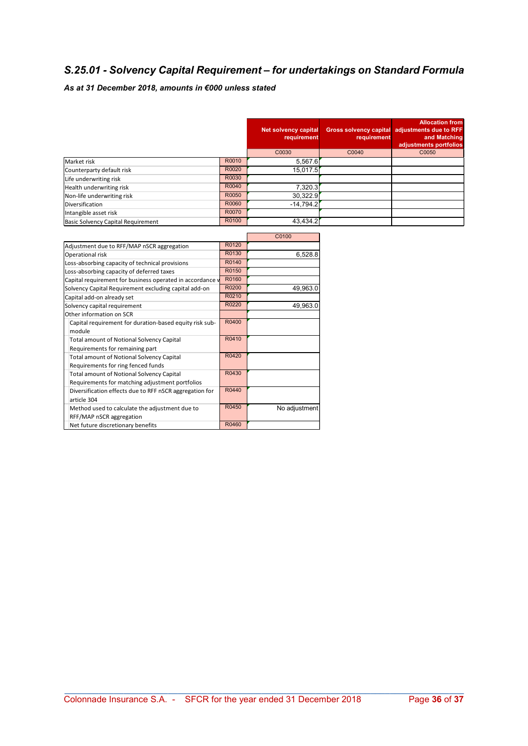## S.25.01 - Solvency Capital Requirement – for undertakings on Standard Formula

## As at 31 December 2018, amounts in €000 unless stated

|                                    |       | Net solvency capital<br>requirement | requirement | <b>Allocation from</b><br>Gross solvency capital adjustments due to RFF<br>and Matching<br>adjustments portfolios |
|------------------------------------|-------|-------------------------------------|-------------|-------------------------------------------------------------------------------------------------------------------|
|                                    |       | C0030                               | C0040       | C0050                                                                                                             |
| Market risk                        | R0010 | 5,567.6                             |             |                                                                                                                   |
| Counterparty default risk          | R0020 | 15,017.5                            |             |                                                                                                                   |
| Life underwriting risk             | R0030 |                                     |             |                                                                                                                   |
| Health underwriting risk           | R0040 | 7,320.3                             |             |                                                                                                                   |
| Non-life underwriting risk         | R0050 | 30,322.9                            |             |                                                                                                                   |
| Diversification                    | R0060 | $-14,794.2$                         |             |                                                                                                                   |
| Intangible asset risk              | R0070 |                                     |             |                                                                                                                   |
| Basic Solvency Capital Requirement | R0100 | 43,434.2                            |             |                                                                                                                   |

|                                                                    | C0100         |
|--------------------------------------------------------------------|---------------|
| R0120                                                              |               |
| R0130                                                              | 6,528.8       |
| R0140                                                              |               |
| R0150                                                              |               |
| R0160<br>Capital requirement for business operated in accordance v |               |
| R0200                                                              | 49,963.0      |
| R0210                                                              |               |
| R0220                                                              | 49,963.0      |
|                                                                    |               |
| R0400                                                              |               |
|                                                                    |               |
| R0410                                                              |               |
|                                                                    |               |
| R0420                                                              |               |
|                                                                    |               |
| R0430                                                              |               |
|                                                                    |               |
| R0440                                                              |               |
|                                                                    |               |
| R0450                                                              | No adjustment |
|                                                                    |               |
| R0460                                                              |               |
|                                                                    |               |